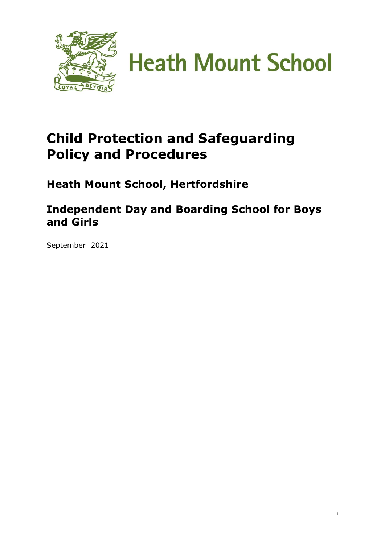

1

### **Child Protection and Safeguarding Policy and Procedures**

**Heath Mount School, Hertfordshire**

**Independent Day and Boarding School for Boys and Girls**

September 2021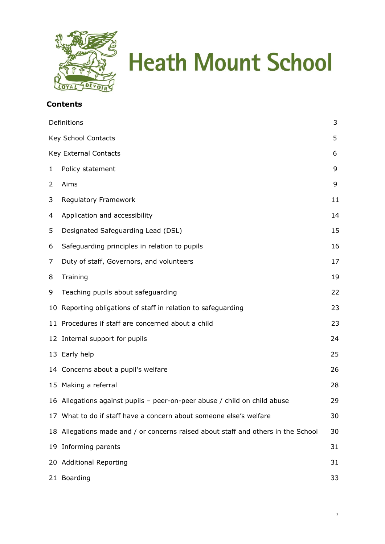

#### **Contents**

|             | Definitions                                                                       | 3  |
|-------------|-----------------------------------------------------------------------------------|----|
|             | Key School Contacts                                                               | 5  |
|             | Key External Contacts                                                             | 6  |
| $\mathbf 1$ | Policy statement                                                                  | 9  |
| 2           | Aims                                                                              | 9  |
| 3           | Regulatory Framework                                                              | 11 |
| 4           | Application and accessibility                                                     | 14 |
| 5           | Designated Safeguarding Lead (DSL)                                                | 15 |
| 6           | Safeguarding principles in relation to pupils                                     | 16 |
| 7           | Duty of staff, Governors, and volunteers                                          | 17 |
| 8           | Training                                                                          | 19 |
| 9           | Teaching pupils about safeguarding                                                | 22 |
|             | 10 Reporting obligations of staff in relation to safeguarding                     | 23 |
|             | 11 Procedures if staff are concerned about a child                                | 23 |
|             | 12 Internal support for pupils                                                    | 24 |
|             | 13 Early help                                                                     | 25 |
|             | 14 Concerns about a pupil's welfare                                               | 26 |
|             | 15 Making a referral                                                              | 28 |
|             | 16 Allegations against pupils - peer-on-peer abuse / child on child abuse         | 29 |
|             | 17 What to do if staff have a concern about someone else's welfare                | 30 |
|             | 18 Allegations made and / or concerns raised about staff and others in the School | 30 |
| 19          | Informing parents                                                                 | 31 |
|             | 20 Additional Reporting                                                           | 31 |
|             | 21 Boarding                                                                       | 33 |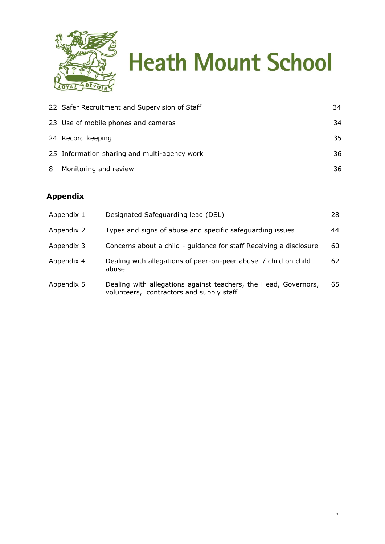

|   | 22 Safer Recruitment and Supervision of Staff | 34. |
|---|-----------------------------------------------|-----|
|   | 23 Use of mobile phones and cameras           | 34  |
|   | 24 Record keeping                             | 35  |
|   | 25 Information sharing and multi-agency work  | 36  |
| 8 | Monitoring and review                         | 36  |

#### **Appendix**

| Appendix 1 | Designated Safeguarding lead (DSL)                                                                          | 28 |
|------------|-------------------------------------------------------------------------------------------------------------|----|
| Appendix 2 | Types and signs of abuse and specific safeguarding issues                                                   | 44 |
| Appendix 3 | Concerns about a child - guidance for staff Receiving a disclosure                                          | 60 |
| Appendix 4 | Dealing with allegations of peer-on-peer abuse / child on child<br>abuse                                    | 62 |
| Appendix 5 | Dealing with allegations against teachers, the Head, Governors,<br>volunteers, contractors and supply staff | 65 |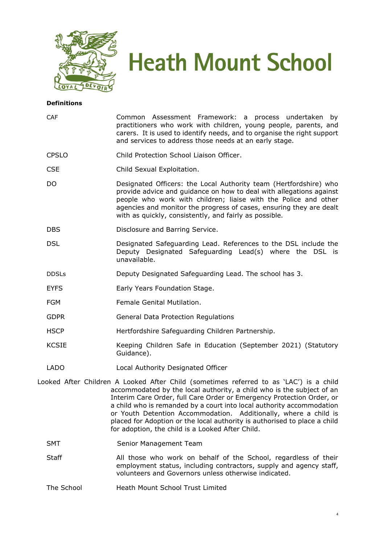



#### **Definitions**

| <b>CAF</b>   | Common Assessment Framework: a process undertaken by<br>practitioners who work with children, young people, parents, and<br>carers. It is used to identify needs, and to organise the right support<br>and services to address those needs at an early stage.                                                                                                                                                                                                                                                          |
|--------------|------------------------------------------------------------------------------------------------------------------------------------------------------------------------------------------------------------------------------------------------------------------------------------------------------------------------------------------------------------------------------------------------------------------------------------------------------------------------------------------------------------------------|
| <b>CPSLO</b> | Child Protection School Liaison Officer.                                                                                                                                                                                                                                                                                                                                                                                                                                                                               |
| <b>CSE</b>   | Child Sexual Exploitation.                                                                                                                                                                                                                                                                                                                                                                                                                                                                                             |
| DO           | Designated Officers: the Local Authority team (Hertfordshire) who<br>provide advice and guidance on how to deal with allegations against<br>people who work with children; liaise with the Police and other<br>agencies and monitor the progress of cases, ensuring they are dealt<br>with as quickly, consistently, and fairly as possible.                                                                                                                                                                           |
| <b>DBS</b>   | Disclosure and Barring Service.                                                                                                                                                                                                                                                                                                                                                                                                                                                                                        |
| <b>DSL</b>   | Designated Safeguarding Lead. References to the DSL include the<br>Deputy Designated Safeguarding Lead(s) where the DSL is<br>unavailable.                                                                                                                                                                                                                                                                                                                                                                             |
| <b>DDSLs</b> | Deputy Designated Safeguarding Lead. The school has 3.                                                                                                                                                                                                                                                                                                                                                                                                                                                                 |
| <b>EYFS</b>  | Early Years Foundation Stage.                                                                                                                                                                                                                                                                                                                                                                                                                                                                                          |
| <b>FGM</b>   | Female Genital Mutilation.                                                                                                                                                                                                                                                                                                                                                                                                                                                                                             |
| <b>GDPR</b>  | <b>General Data Protection Regulations</b>                                                                                                                                                                                                                                                                                                                                                                                                                                                                             |
| <b>HSCP</b>  | Hertfordshire Safeguarding Children Partnership.                                                                                                                                                                                                                                                                                                                                                                                                                                                                       |
| <b>KCSIE</b> | Keeping Children Safe in Education (September 2021) (Statutory<br>Guidance).                                                                                                                                                                                                                                                                                                                                                                                                                                           |
| <b>LADO</b>  | Local Authority Designated Officer                                                                                                                                                                                                                                                                                                                                                                                                                                                                                     |
|              | Looked After Children A Looked After Child (sometimes referred to as 'LAC') is a child<br>accommodated by the local authority, a child who is the subject of an<br>Interim Care Order, full Care Order or Emergency Protection Order, or<br>a child who is remanded by a court into local authority accommodation<br>or Youth Detention Accommodation. Additionally, where a child is<br>placed for Adoption or the local authority is authorised to place a child<br>for adoption, the child is a Looked After Child. |

- SMT Senior Management Team
- Staff All those who work on behalf of the School, regardless of their employment status, including contractors, supply and agency staff, volunteers and Governors unless otherwise indicated.
- The School **Heath Mount School Trust Limited**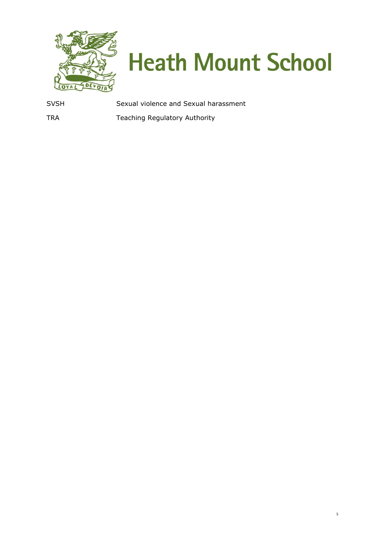

SVSH Sexual violence and Sexual harassment

TRA Teaching Regulatory Authority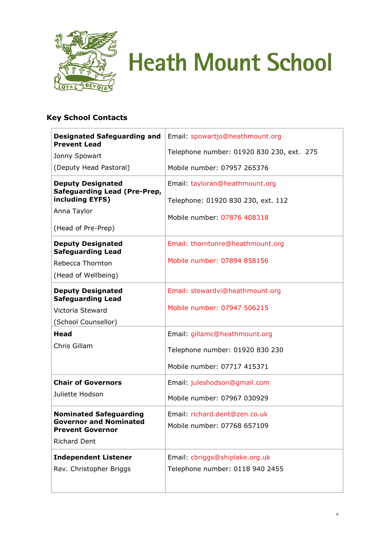

#### **Key School Contacts**

| <b>Designated Safeguarding and</b><br><b>Prevent Lead</b> | Email: spowartjo@heathmount.org           |
|-----------------------------------------------------------|-------------------------------------------|
| Jonny Spowart                                             | Telephone number: 01920 830 230, ext. 275 |
| (Deputy Head Pastoral)                                    | Mobile number: 07957 265376               |
| <b>Deputy Designated</b>                                  | Email: tayloran@heathmount.org            |
| <b>Safeguarding Lead (Pre-Prep,</b><br>including EYFS)    | Telephone: 01920 830 230, ext. 112        |
| Anna Taylor                                               | Mobile number: 07876 408318               |
| (Head of Pre-Prep)                                        |                                           |
| <b>Deputy Designated</b><br><b>Safeguarding Lead</b>      | Email: thorntonre@heathmount.org          |
| Rebecca Thornton                                          | Mobile number: 07894 858156               |
| (Head of Wellbeing)                                       |                                           |
| <b>Deputy Designated</b><br><b>Safeguarding Lead</b>      | Email: stewardvi@heathmount.org           |
| Victoria Steward                                          | Mobile number: 07947 506215               |
| (School Counsellor)                                       |                                           |
| Head                                                      | Email: gillamc@heathmount.org             |
| Chris Gillam                                              | Telephone number: 01920 830 230           |
|                                                           | Mobile number: 07717 415371               |
| <b>Chair of Governors</b>                                 | Email: juleshodson@gmail.com              |
| Juliette Hodson                                           | Mobile number: 07967 030929               |
| <b>Nominated Safeguarding</b>                             | Email: richard.dent@zen.co.uk             |
| <b>Governor and Nominated</b><br><b>Prevent Governor</b>  | Mobile number: 07768 657109               |
| <b>Richard Dent</b>                                       |                                           |
| <b>Independent Listener</b>                               | Email: cbriggs@shiplake.org.uk            |
| Rev. Christopher Briggs                                   | Telephone number: 0118 940 2455           |
|                                                           |                                           |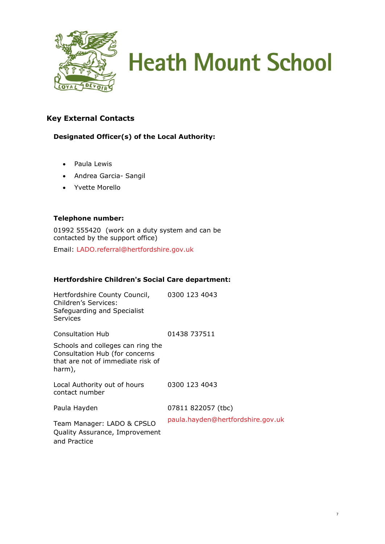

#### **Key External Contacts**

#### **Designated Officer(s) of the Local Authority:**

- Paula Lewis
- Andrea Garcia- Sangil
- Yvette Morello

#### **Telephone number:**

01992 555420 (work on a duty system and can be contacted by the support office)

Email: [LADO.referral@hertfordshire.gov.uk](mailto:LADO.referral@hertfordshire.gov.uk)

#### **Hertfordshire Children's Social Care department:**

| Hertfordshire County Council,<br>Children's Services:<br>Safeguarding and Specialist<br>Services                   | 0300 123 4043                     |
|--------------------------------------------------------------------------------------------------------------------|-----------------------------------|
| <b>Consultation Hub</b>                                                                                            | 01438 737511                      |
| Schools and colleges can ring the<br>Consultation Hub (for concerns<br>that are not of immediate risk of<br>harm), |                                   |
| Local Authority out of hours<br>contact number                                                                     | 0300 123 4043                     |
| Paula Hayden                                                                                                       | 07811 822057 (tbc)                |
| Team Manager: LADO & CPSLO<br>Quality Assurance, Improvement<br>and Practice                                       | paula.hayden@hertfordshire.gov.uk |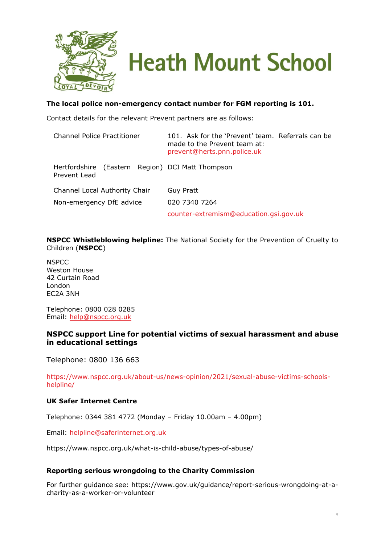

#### **The local police non-emergency contact number for FGM reporting is 101.**

Contact details for the relevant Prevent partners are as follows:

| <b>Channel Police Practitioner</b>                               | 101. Ask for the 'Prevent' team. Referrals can be<br>made to the Prevent team at:<br>prevent@herts.pnn.police.uk |
|------------------------------------------------------------------|------------------------------------------------------------------------------------------------------------------|
| Hertfordshire (Eastern Region) DCI Matt Thompson<br>Prevent Lead |                                                                                                                  |
| Channel Local Authority Chair                                    | Guy Pratt                                                                                                        |
| Non-emergency DfE advice                                         | 020 7340 7264                                                                                                    |
|                                                                  | counter-extremism@education.gsi.gov.uk                                                                           |

**NSPCC Whistleblowing helpline:** The National Society for the Prevention of Cruelty to Children (**NSPCC**)

**NSPCC** Weston House 42 Curtain Road London EC2A 3NH

Telephone: 0800 028 0285 Email: [help@nspcc.org.uk](mailto:help@nspcc.org.uk) 

#### **NSPCC support Line for potential victims of sexual harassment and abuse in educational settings**

Telephone: 0800 136 663

[https://www.nspcc.org.uk/about-us/news-opinion/2021/sexual-abuse-victims-schools](https://www.nspcc.org.uk/about-us/news-opinion/2021/sexual-abuse-victims-schools-helpline/)[helpline/](https://www.nspcc.org.uk/about-us/news-opinion/2021/sexual-abuse-victims-schools-helpline/)

#### **UK Safer Internet Centre**

Telephone: 0344 381 4772 (Monday – Friday 10.00am – 4.00pm)

Email: [helpline@saferinternet.org.uk](mailto:helpline@saferinternet.org.uk)

https://www.nspcc.org.uk/what-is-child-abuse/types-of-abuse/

#### **Reporting serious wrongdoing to the Charity Commission**

For further guidance see: https://www.gov.uk/guidance/report-serious-wrongdoing-at-acharity-as-a-worker-or-volunteer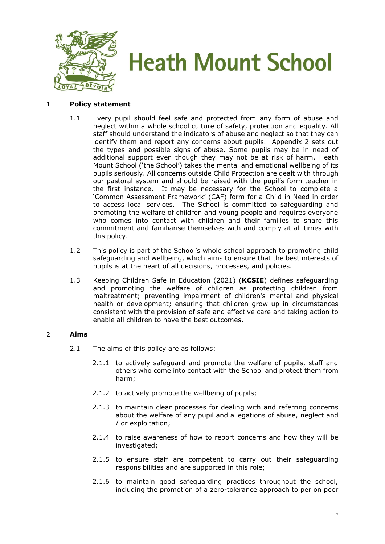

#### 1 **Policy statement**

- 1.1 Every pupil should feel safe and protected from any form of abuse and neglect within a whole school culture of safety, protection and equality. All staff should understand the indicators of abuse and neglect so that they can identify them and report any concerns about pupils. Appendix 2 sets out the types and possible signs of abuse. Some pupils may be in need of additional support even though they may not be at risk of harm. Heath Mount School ('the School') takes the mental and emotional wellbeing of its pupils seriously. All concerns outside Child Protection are dealt with through our pastoral system and should be raised with the pupil's form teacher in the first instance. It may be necessary for the School to complete a 'Common Assessment Framework' (CAF) form for a Child in Need in order to access local services. The School is committed to safeguarding and promoting the welfare of children and young people and requires everyone who comes into contact with children and their families to share this commitment and familiarise themselves with and comply at all times with this policy.
- 1.2 This policy is part of the School's whole school approach to promoting child safeguarding and wellbeing, which aims to ensure that the best interests of pupils is at the heart of all decisions, processes, and policies.
- 1.3 Keeping Children Safe in Education (2021) (**KCSIE**) defines safeguarding and promoting the welfare of children as protecting children from maltreatment; preventing impairment of children's mental and physical health or development; ensuring that children grow up in circumstances consistent with the provision of safe and effective care and taking action to enable all children to have the best outcomes.

#### 2 **Aims**

- 2.1 The aims of this policy are as follows:
	- 2.1.1 to actively safeguard and promote the welfare of pupils, staff and others who come into contact with the School and protect them from harm;
	- 2.1.2 to actively promote the wellbeing of pupils;
	- 2.1.3 to maintain clear processes for dealing with and referring concerns about the welfare of any pupil and allegations of abuse, neglect and / or exploitation;
	- 2.1.4 to raise awareness of how to report concerns and how they will be investigated;
	- 2.1.5 to ensure staff are competent to carry out their safeguarding responsibilities and are supported in this role;
	- 2.1.6 to maintain good safeguarding practices throughout the school, including the promotion of a zero-tolerance approach to per on peer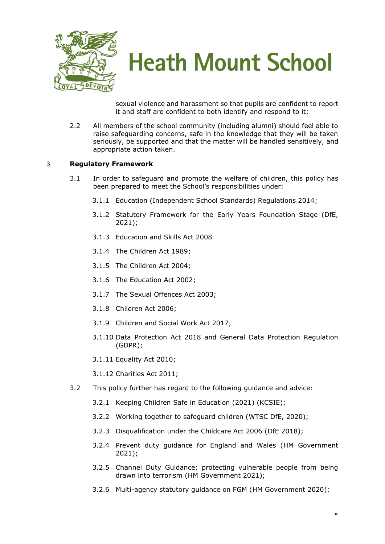

sexual violence and harassment so that pupils are confident to report it and staff are confident to both identify and respond to it;

2.2 All members of the school community (including alumni) should feel able to raise safeguarding concerns, safe in the knowledge that they will be taken seriously, be supported and that the matter will be handled sensitively, and appropriate action taken.

#### 3 **Regulatory Framework**

- 3.1 In order to safeguard and promote the welfare of children, this policy has been prepared to meet the School's responsibilities under:
	- 3.1.1 Education (Independent School Standards) Regulations 2014;
	- 3.1.2 Statutory Framework for the Early Years Foundation Stage (DfE, 2021);
	- 3.1.3 Education and Skills Act 2008
	- 3.1.4 The Children Act 1989;
	- 3.1.5 The Children Act 2004;
	- 3.1.6 The Education Act 2002;
	- 3.1.7 The Sexual Offences Act 2003;
	- 3.1.8 Children Act 2006;
	- 3.1.9 Children and Social Work Act 2017;
	- 3.1.10 Data Protection Act 2018 and General Data Protection Regulation (GDPR);
	- 3.1.11 Equality Act 2010;
	- 3.1.12 Charities Act 2011;
- 3.2 This policy further has regard to the following guidance and advice:
	- 3.2.1 Keeping Children Safe in Education (2021) (KCSIE);
	- 3.2.2 Working together to safeguard children (WTSC DfE, 2020);
	- 3.2.3 Disqualification under the Childcare Act 2006 (DfE 2018);
	- 3.2.4 Prevent duty guidance for England and Wales (HM Government 2021);
	- 3.2.5 Channel Duty Guidance: protecting vulnerable people from being drawn into terrorism (HM Government 2021);
	- 3.2.6 Multi-agency statutory guidance on FGM (HM Government 2020);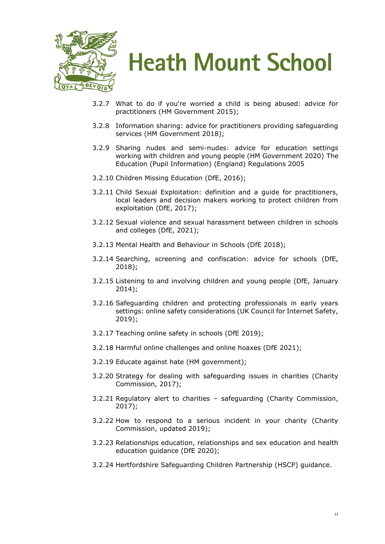

- 3.2.7 What to do if you're worried a child is being abused: advice for practitioners (HM Government 2015);
- 3.2.8 Information sharing: advice for practitioners providing safeguarding services (HM Government 2018);
- 3.2.9 Sharing nudes and semi-nudes: advice for education settings working with children and young people (HM Government 2020) The Education (Pupil Information) (England) Regulations 2005
- 3.2.10 Children Missing Education (DfE, 2016);
- 3.2.11 Child Sexual Exploitation: definition and a guide for practitioners, local leaders and decision makers working to protect children from exploitation (DfE, 2017);
- 3.2.12 Sexual violence and sexual harassment between children in schools and colleges (DfE, 2021);
- 3.2.13 Mental Health and Behaviour in Schools (DfE 2018);
- 3.2.14 Searching, screening and confiscation: advice for schools (DfE, 2018);
- 3.2.15 Listening to and involving children and young people (DfE, January 2014);
- 3.2.16 Safeguarding children and protecting professionals in early years settings: online safety considerations (UK Council for Internet Safety, 2019);
- 3.2.17 Teaching online safety in schools (DfE 2019);
- 3.2.18 Harmful online challenges and online hoaxes (DfE 2021);
- 3.2.19 Educate against hate (HM government);
- 3.2.20 Strategy for dealing with safeguarding issues in charities (Charity Commission, 2017);
- 3.2.21 Regulatory alert to charities safeguarding (Charity Commission, 2017);
- 3.2.22 How to respond to a serious incident in your charity (Charity Commission, updated 2019);
- 3.2.23 Relationships education, relationships and sex education and health education guidance (DfE 2020);
- 3.2.24 Hertfordshire Safeguarding Children Partnership (HSCP) guidance.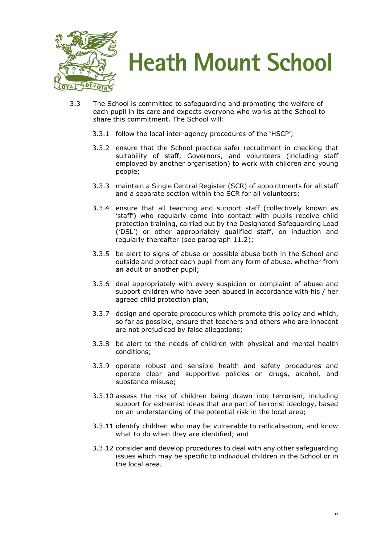

- 3.3 The School is committed to safeguarding and promoting the welfare of each pupil in its care and expects everyone who works at the School to share this commitment. The School will:
	- 3.3.1 follow the local inter-agency procedures of the 'HSCP';
	- 3.3.2 ensure that the School practice safer recruitment in checking that suitability of staff, Governors, and volunteers (including staff employed by another organisation) to work with children and young people;
	- 3.3.3 maintain a Single Central Register (SCR) of appointments for all staff and a separate section within the SCR for all volunteers;
	- 3.3.4 ensure that all teaching and support staff (collectively known as 'staff') who regularly come into contact with pupils receive child protection training, carried out by the Designated Safeguarding Lead ('DSL') or other appropriately qualified staff, on induction and regularly thereafter (see paragraph 11.2);
	- 3.3.5 be alert to signs of abuse or possible abuse both in the School and outside and protect each pupil from any form of abuse, whether from an adult or another pupil;
	- 3.3.6 deal appropriately with every suspicion or complaint of abuse and support children who have been abused in accordance with his / her agreed child protection plan;
	- 3.3.7 design and operate procedures which promote this policy and which, so far as possible, ensure that teachers and others who are innocent are not prejudiced by false allegations;
	- 3.3.8 be alert to the needs of children with physical and mental health conditions;
	- 3.3.9 operate robust and sensible health and safety procedures and operate clear and supportive policies on drugs, alcohol, and substance misuse;
	- 3.3.10 assess the risk of children being drawn into terrorism, including support for extremist ideas that are part of terrorist ideology, based on an understanding of the potential risk in the local area;
	- 3.3.11 identify children who may be vulnerable to radicalisation, and know what to do when they are identified; and
	- 3.3.12 consider and develop procedures to deal with any other safeguarding issues which may be specific to individual children in the School or in the local area.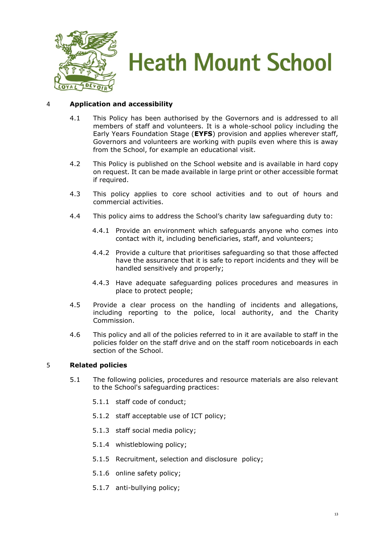

#### 4 **Application and accessibility**

- 4.1 This Policy has been authorised by the Governors and is addressed to all members of staff and volunteers. It is a whole-school policy including the Early Years Foundation Stage (**EYFS**) provision and applies wherever staff, Governors and volunteers are working with pupils even where this is away from the School, for example an educational visit.
- 4.2 This Policy is published on the School website and is available in hard copy on request. It can be made available in large print or other accessible format if required.
- 4.3 This policy applies to core school activities and to out of hours and commercial activities.
- 4.4 This policy aims to address the School's charity law safeguarding duty to:
	- 4.4.1 Provide an environment which safeguards anyone who comes into contact with it, including beneficiaries, staff, and volunteers;
	- 4.4.2 Provide a culture that prioritises safeguarding so that those affected have the assurance that it is safe to report incidents and they will be handled sensitively and properly;
	- 4.4.3 Have adequate safeguarding polices procedures and measures in place to protect people;
- 4.5 Provide a clear process on the handling of incidents and allegations, including reporting to the police, local authority, and the Charity Commission.
- 4.6 This policy and all of the policies referred to in it are available to staff in the policies folder on the staff drive and on the staff room noticeboards in each section of the School.

#### 5 **Related policies**

- 5.1 The following policies, procedures and resource materials are also relevant to the School's safeguarding practices:
	- 5.1.1 staff code of conduct;
	- 5.1.2 staff acceptable use of ICT policy;
	- 5.1.3 staff social media policy;
	- 5.1.4 whistleblowing policy;
	- 5.1.5 Recruitment, selection and disclosure policy;
	- 5.1.6 online safety policy;
	- 5.1.7 anti-bullying policy;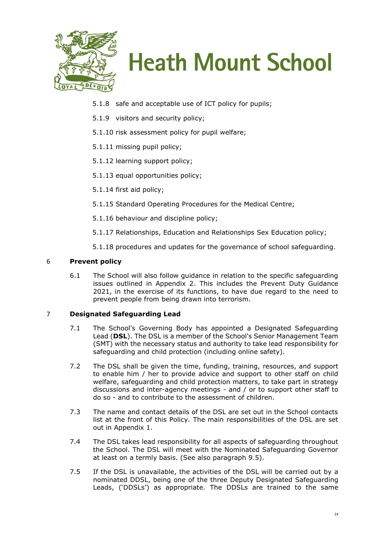

- 5.1.8 safe and acceptable use of ICT policy for pupils;
- 5.1.9 visitors and security policy;
- 5.1.10 risk assessment policy for pupil welfare;
- 5.1.11 missing pupil policy;
- 5.1.12 learning support policy;
- 5.1.13 equal opportunities policy;
- 5.1.14 first aid policy;
- 5.1.15 Standard Operating Procedures for the Medical Centre;
- 5.1.16 behaviour and discipline policy;
- 5.1.17 Relationships, Education and Relationships Sex Education policy;
- 5.1.18 procedures and updates for the governance of school safeguarding.

#### 6 **Prevent policy**

6.1 The School will also follow guidance in relation to the specific safeguarding issues outlined in Appendix 2. This includes the Prevent Duty Guidance 2021, in the exercise of its functions, to have due regard to the need to prevent people from being drawn into terrorism.

#### 7 **Designated Safeguarding Lead**

- 7.1 The School's Governing Body has appointed a Designated Safeguarding Lead (**DSL**). The DSL is a member of the School's Senior Management Team (SMT) with the necessary status and authority to take lead responsibility for safeguarding and child protection (including online safety).
- 7.2 The DSL shall be given the time, funding, training, resources, and support to enable him / her to provide advice and support to other staff on child welfare, safeguarding and child protection matters, to take part in strategy discussions and inter-agency meetings - and / or to support other staff to do so - and to contribute to the assessment of children.
- 7.3 The name and contact details of the DSL are set out in the School contacts list at the front of this Policy. The main responsibilities of the DSL are set out in Appendix 1.
- 7.4 The DSL takes lead responsibility for all aspects of safeguarding throughout the School. The DSL will meet with the Nominated Safeguarding Governor at least on a termly basis. (See also paragraph 9.5).
- 7.5 If the DSL is unavailable, the activities of the DSL will be carried out by a nominated DDSL, being one of the three Deputy Designated Safeguarding Leads, ('DDSLs') as appropriate. The DDSLs are trained to the same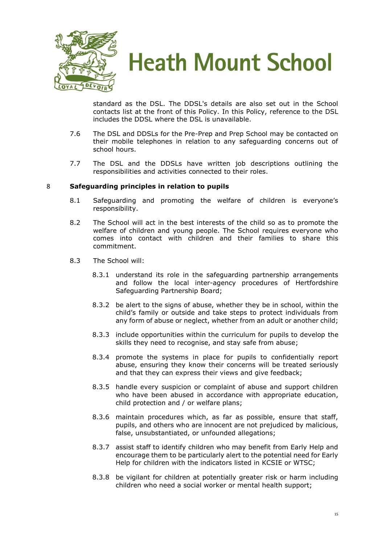

standard as the DSL. The DDSL's details are also set out in the School contacts list at the front of this Policy. In this Policy, reference to the DSL includes the DDSL where the DSL is unavailable.

- 7.6 The DSL and DDSLs for the Pre-Prep and Prep School may be contacted on their mobile telephones in relation to any safeguarding concerns out of school hours.
- 7.7 The DSL and the DDSLs have written job descriptions outlining the responsibilities and activities connected to their roles.

#### 8 **Safeguarding principles in relation to pupils**

- 8.1 Safeguarding and promoting the welfare of children is everyone's responsibility.
- 8.2 The School will act in the best interests of the child so as to promote the welfare of children and young people. The School requires everyone who comes into contact with children and their families to share this commitment.
- 8.3 The School will:
	- 8.3.1 understand its role in the safeguarding partnership arrangements and follow the local inter-agency procedures of Hertfordshire Safeguarding Partnership Board;
	- 8.3.2 be alert to the signs of abuse, whether they be in school, within the child's family or outside and take steps to protect individuals from any form of abuse or neglect, whether from an adult or another child;
	- 8.3.3 include opportunities within the curriculum for pupils to develop the skills they need to recognise, and stay safe from abuse;
	- 8.3.4 promote the systems in place for pupils to confidentially report abuse, ensuring they know their concerns will be treated seriously and that they can express their views and give feedback;
	- 8.3.5 handle every suspicion or complaint of abuse and support children who have been abused in accordance with appropriate education, child protection and / or welfare plans;
	- 8.3.6 maintain procedures which, as far as possible, ensure that staff, pupils, and others who are innocent are not prejudiced by malicious, false, unsubstantiated, or unfounded allegations;
	- 8.3.7 assist staff to identify children who may benefit from Early Help and encourage them to be particularly alert to the potential need for Early Help for children with the indicators listed in KCSIE or WTSC;
	- 8.3.8 be vigilant for children at potentially greater risk or harm including children who need a social worker or mental health support;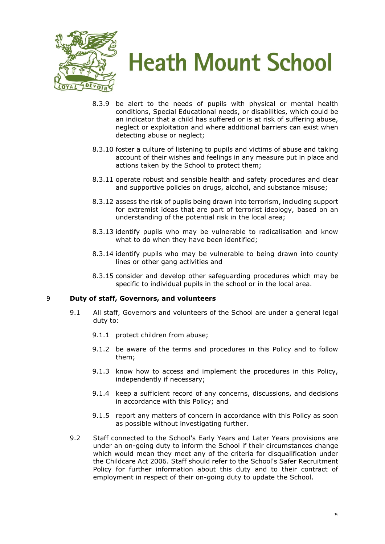

- 8.3.9 be alert to the needs of pupils with physical or mental health conditions, Special Educational needs, or disabilities, which could be an indicator that a child has suffered or is at risk of suffering abuse, neglect or exploitation and where additional barriers can exist when detecting abuse or neglect;
- 8.3.10 foster a culture of listening to pupils and victims of abuse and taking account of their wishes and feelings in any measure put in place and actions taken by the School to protect them;
- 8.3.11 operate robust and sensible health and safety procedures and clear and supportive policies on drugs, alcohol, and substance misuse;
- 8.3.12 assess the risk of pupils being drawn into terrorism, including support for extremist ideas that are part of terrorist ideology, based on an understanding of the potential risk in the local area;
- 8.3.13 identify pupils who may be vulnerable to radicalisation and know what to do when they have been identified;
- 8.3.14 identify pupils who may be vulnerable to being drawn into county lines or other gang activities and
- 8.3.15 consider and develop other safeguarding procedures which may be specific to individual pupils in the school or in the local area.

#### 9 **Duty of staff, Governors, and volunteers**

- 9.1 All staff, Governors and volunteers of the School are under a general legal duty to:
	- 9.1.1 protect children from abuse;
	- 9.1.2 be aware of the terms and procedures in this Policy and to follow them;
	- 9.1.3 know how to access and implement the procedures in this Policy, independently if necessary;
	- 9.1.4 keep a sufficient record of any concerns, discussions, and decisions in accordance with this Policy; and
	- 9.1.5 report any matters of concern in accordance with this Policy as soon as possible without investigating further.
- 9.2 Staff connected to the School's Early Years and Later Years provisions are under an on-going duty to inform the School if their circumstances change which would mean they meet any of the criteria for disqualification under the Childcare Act 2006. Staff should refer to the School's Safer Recruitment Policy for further information about this duty and to their contract of employment in respect of their on-going duty to update the School.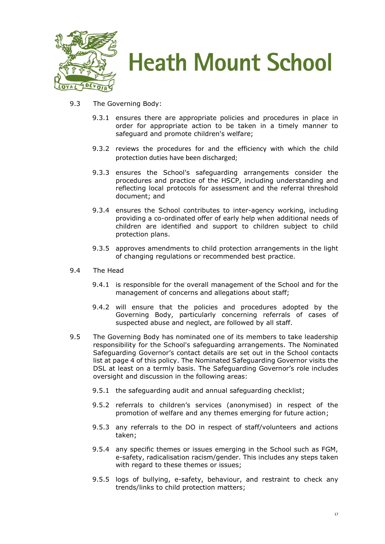

- 9.3 The Governing Body:
	- 9.3.1 ensures there are appropriate policies and procedures in place in order for appropriate action to be taken in a timely manner to safeguard and promote children's welfare;
	- 9.3.2 reviews the procedures for and the efficiency with which the child protection duties have been discharged;
	- 9.3.3 ensures the School's safeguarding arrangements consider the procedures and practice of the HSCP, including understanding and reflecting local protocols for assessment and the referral threshold document; and
	- 9.3.4 ensures the School contributes to inter-agency working, including providing a co-ordinated offer of early help when additional needs of children are identified and support to children subject to child protection plans.
	- 9.3.5 approves amendments to child protection arrangements in the light of changing regulations or recommended best practice.
- 9.4 The Head
	- 9.4.1 is responsible for the overall management of the School and for the management of concerns and allegations about staff;
	- 9.4.2 will ensure that the policies and procedures adopted by the Governing Body, particularly concerning referrals of cases of suspected abuse and neglect, are followed by all staff.
- 9.5 The Governing Body has nominated one of its members to take leadership responsibility for the School's safeguarding arrangements. The Nominated Safeguarding Governor's contact details are set out in the School contacts list at page 4 of this policy. The Nominated Safeguarding Governor visits the DSL at least on a termly basis. The Safeguarding Governor's role includes oversight and discussion in the following areas:
	- 9.5.1 the safeguarding audit and annual safeguarding checklist;
	- 9.5.2 referrals to children's services (anonymised) in respect of the promotion of welfare and any themes emerging for future action;
	- 9.5.3 any referrals to the DO in respect of staff/volunteers and actions taken;
	- 9.5.4 any specific themes or issues emerging in the School such as FGM, e-safety, radicalisation racism/gender. This includes any steps taken with regard to these themes or issues;
	- 9.5.5 logs of bullying, e-safety, behaviour, and restraint to check any trends/links to child protection matters;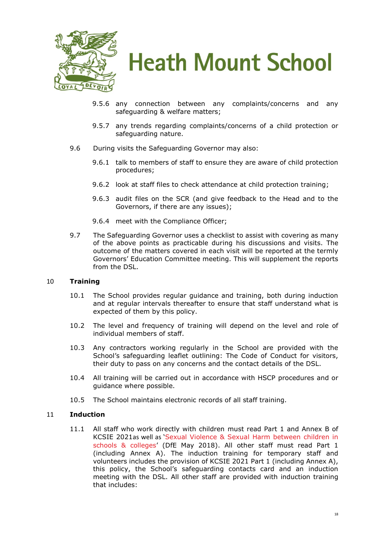

- 9.5.6 any connection between any complaints/concerns and any safeguarding & welfare matters;
- 9.5.7 any trends regarding complaints/concerns of a child protection or safeguarding nature.
- 9.6 During visits the Safeguarding Governor may also:
	- 9.6.1 talk to members of staff to ensure they are aware of child protection procedures;
	- 9.6.2 look at staff files to check attendance at child protection training;
	- 9.6.3 audit files on the SCR (and give feedback to the Head and to the Governors, if there are any issues);
	- 9.6.4 meet with the Compliance Officer;
- 9.7 The Safeguarding Governor uses a checklist to assist with covering as many of the above points as practicable during his discussions and visits. The outcome of the matters covered in each visit will be reported at the termly Governors' Education Committee meeting. This will supplement the reports from the DSL.

#### 10 **Training**

- 10.1 The School provides regular guidance and training, both during induction and at regular intervals thereafter to ensure that staff understand what is expected of them by this policy.
- 10.2 The level and frequency of training will depend on the level and role of individual members of staff.
- 10.3 Any contractors working regularly in the School are provided with the School's safeguarding leaflet outlining: The Code of Conduct for visitors, their duty to pass on any concerns and the contact details of the DSL.
- 10.4 All training will be carried out in accordance with HSCP procedures and or guidance where possible.
- 10.5 The School maintains electronic records of all staff training.

#### 11 **Induction**

11.1 All staff who work directly with children must read Part 1 and Annex B of KCSIE 2021as well as '[Sexual Violence & Sexual Harm between children in](https://www.gov.uk/government/publications/sexual-violence-and-sexual-harassment-between-children-in-schools-and-colleges)  [schools & colleges](https://www.gov.uk/government/publications/sexual-violence-and-sexual-harassment-between-children-in-schools-and-colleges)' (DfE May 2018). All other staff must read Part 1 (including Annex A). The induction training for temporary staff and volunteers includes the provision of KCSIE 2021 Part 1 (including Annex A), this policy, the School's safeguarding contacts card and an induction meeting with the DSL. All other staff are provided with induction training that includes: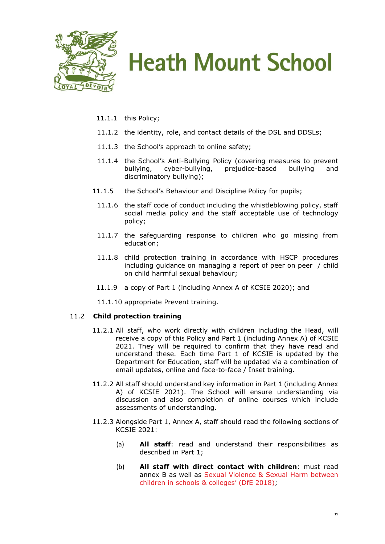



- 11.1.1 this Policy;
- 11.1.2 the identity, role, and contact details of the DSL and DDSLs;
- 11.1.3 the School's approach to online safety;
- 11.1.4 the School's Anti-Bullying Policy (covering measures to prevent bullying, cyber-bullying, prejudice-based bullying and discriminatory bullying);
- 11.1.5 the School's Behaviour and Discipline Policy for pupils;
- 11.1.6 the staff code of conduct including the whistleblowing policy, staff social media policy and the staff acceptable use of technology policy;
- 11.1.7 the safeguarding response to children who go missing from education;
- 11.1.8 child protection training in accordance with HSCP procedures including guidance on managing a report of peer on peer / child on child harmful sexual behaviour;
- 11.1.9 a copy of Part 1 (including Annex A of KCSIE 2020); and

11.1.10 appropriate Prevent training.

#### 11.2 **Child protection training**

- 11.2.1 All staff, who work directly with children including the Head, will receive a copy of this Policy and Part 1 (including Annex A) of KCSIE 2021. They will be required to confirm that they have read and understand these. Each time Part 1 of KCSIE is updated by the Department for Education, staff will be updated via a combination of email updates, online and face-to-face / Inset training.
- 11.2.2 All staff should understand key information in Part 1 (including Annex A) of KCSIE 2021). The School will ensure understanding via discussion and also completion of online courses which include assessments of understanding.
- 11.2.3 Alongside Part 1, Annex A, staff should read the following sections of KCSIE 2021:
	- (a) **All staff**: read and understand their responsibilities as described in Part 1;
	- (b) **All staff with direct contact with children**: must read annex B as well as Sexual Violence [& Sexual Harm between](https://www.gov.uk/government/publications/sexual-violence-and-sexual-harassment-between-children-in-schools-and-colleges)  children in schools [& colleges' \(DfE 2018\)](https://www.gov.uk/government/publications/sexual-violence-and-sexual-harassment-between-children-in-schools-and-colleges);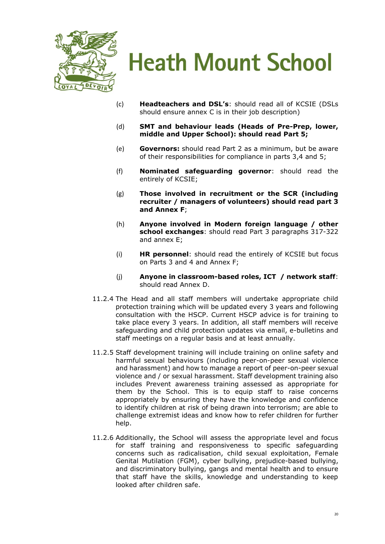

- (c) **Headteachers and DSL's**: should read all of KCSIE (DSLs should ensure annex C is in their job description)
- (d) **SMT and behaviour leads (Heads of Pre-Prep, lower, middle and Upper School): should read Part 5;**
- (e) **Governors:** should read Part 2 as a minimum, but be aware of their responsibilities for compliance in parts 3,4 and 5;
- (f) **Nominated safeguarding governor**: should read the entirely of KCSIE;
- (g) **Those involved in recruitment or the SCR (including recruiter / managers of volunteers) should read part 3 and Annex F**;
- (h) **Anyone involved in Modern foreign language / other school exchanges**: should read Part 3 paragraphs 317-322 and annex E;
- (i) **HR personnel**: should read the entirely of KCSIE but focus on Parts 3 and 4 and Annex F;
- (j) **Anyone in classroom-based roles, ICT / network staff**: should read Annex D.
- 11.2.4 The Head and all staff members will undertake appropriate child protection training which will be updated every 3 years and following consultation with the HSCP. Current HSCP advice is for training to take place every 3 years. In addition, all staff members will receive safeguarding and child protection updates via email, e-bulletins and staff meetings on a regular basis and at least annually.
- 11.2.5 Staff development training will include training on online safety and harmful sexual behaviours (including peer-on-peer sexual violence and harassment) and how to manage a report of peer-on-peer sexual violence and / or sexual harassment. Staff development training also includes Prevent awareness training assessed as appropriate for them by the School. This is to equip staff to raise concerns appropriately by ensuring they have the knowledge and confidence to identify children at risk of being drawn into terrorism; are able to challenge extremist ideas and know how to refer children for further help.
- 11.2.6 Additionally, the School will assess the appropriate level and focus for staff training and responsiveness to specific safeguarding concerns such as radicalisation, child sexual exploitation, Female Genital Mutilation (FGM), cyber bullying, prejudice-based bullying, and discriminatory bullying, gangs and mental health and to ensure that staff have the skills, knowledge and understanding to keep looked after children safe.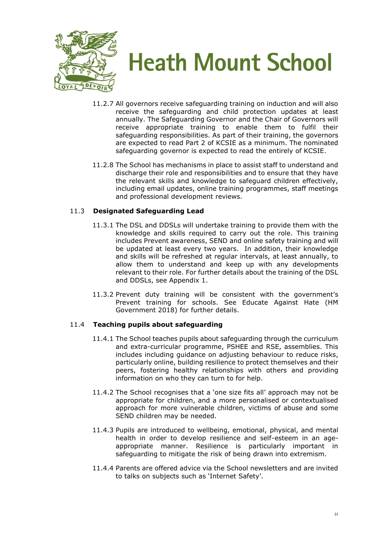

- 11.2.7 All governors receive safeguarding training on induction and will also receive the safeguarding and child protection updates at least annually. The Safeguarding Governor and the Chair of Governors will receive appropriate training to enable them to fulfil their safeguarding responsibilities. As part of their training, the governors are expected to read Part 2 of KCSIE as a minimum. The nominated safeguarding governor is expected to read the entirely of KCSIE.
- 11.2.8 The School has mechanisms in place to assist staff to understand and discharge their role and responsibilities and to ensure that they have the relevant skills and knowledge to safeguard children effectively, including email updates, online training programmes, staff meetings and professional development reviews.

#### 11.3 **Designated Safeguarding Lead**

- 11.3.1 The DSL and DDSLs will undertake training to provide them with the knowledge and skills required to carry out the role. This training includes Prevent awareness, SEND and online safety training and will be updated at least every two years. In addition, their knowledge and skills will be refreshed at regular intervals, at least annually, to allow them to understand and keep up with any developments relevant to their role. For further details about the training of the DSL and DDSLs, see Appendix 1.
- 11.3.2 Prevent duty training will be consistent with the government's Prevent training for schools. See Educate Against Hate (HM Government 2018) for further details.

#### 11.4 **Teaching pupils about safeguarding**

- 11.4.1 The School teaches pupils about safeguarding through the curriculum and extra-curricular programme, PSHEE and RSE, assemblies. This includes including guidance on adjusting behaviour to reduce risks, particularly online, building resilience to protect themselves and their peers, fostering healthy relationships with others and providing information on who they can turn to for help.
- 11.4.2 The School recognises that a 'one size fits all' approach may not be appropriate for children, and a more personalised or contextualised approach for more vulnerable children, victims of abuse and some SEND children may be needed.
- 11.4.3 Pupils are introduced to wellbeing, emotional, physical, and mental health in order to develop resilience and self-esteem in an ageappropriate manner. Resilience is particularly important in safeguarding to mitigate the risk of being drawn into extremism.
- 11.4.4 Parents are offered advice via the School newsletters and are invited to talks on subjects such as 'Internet Safety'.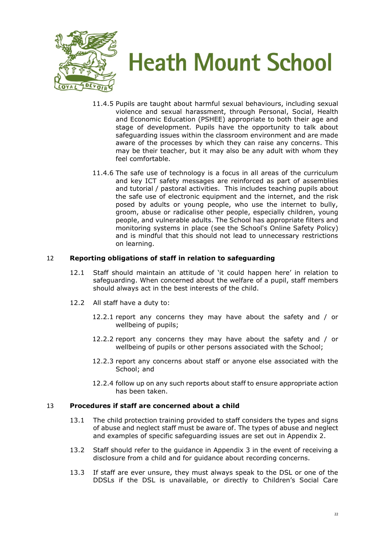

- 11.4.5 Pupils are taught about harmful sexual behaviours, including sexual violence and sexual harassment, through Personal, Social, Health and Economic Education (PSHEE) appropriate to both their age and stage of development. Pupils have the opportunity to talk about safeguarding issues within the classroom environment and are made aware of the processes by which they can raise any concerns. This may be their teacher, but it may also be any adult with whom they feel comfortable.
- 11.4.6 The safe use of technology is a focus in all areas of the curriculum and key ICT safety messages are reinforced as part of assemblies and tutorial / pastoral activities. This includes teaching pupils about the safe use of electronic equipment and the internet, and the risk posed by adults or young people, who use the internet to bully, groom, abuse or radicalise other people, especially children, young people, and vulnerable adults. The School has appropriate filters and monitoring systems in place (see the School's Online Safety Policy) and is mindful that this should not lead to unnecessary restrictions on learning.

#### 12 **Reporting obligations of staff in relation to safeguarding**

- 12.1 Staff should maintain an attitude of 'it could happen here' in relation to safeguarding. When concerned about the welfare of a pupil, staff members should always act in the best interests of the child.
- 12.2 All staff have a duty to:
	- 12.2.1 report any concerns they may have about the safety and / or wellbeing of pupils;
	- 12.2.2 report any concerns they may have about the safety and / or wellbeing of pupils or other persons associated with the School;
	- 12.2.3 report any concerns about staff or anyone else associated with the School; and
	- 12.2.4 follow up on any such reports about staff to ensure appropriate action has been taken.

#### 13 **Procedures if staff are concerned about a child**

- 13.1 The child protection training provided to staff considers the types and signs of abuse and neglect staff must be aware of. The types of abuse and neglect and examples of specific safeguarding issues are set out in Appendix 2.
- 13.2 Staff should refer to the guidance in Appendix 3 in the event of receiving a disclosure from a child and for guidance about recording concerns.
- 13.3 If staff are ever unsure, they must always speak to the DSL or one of the DDSLs if the DSL is unavailable, or directly to Children's Social Care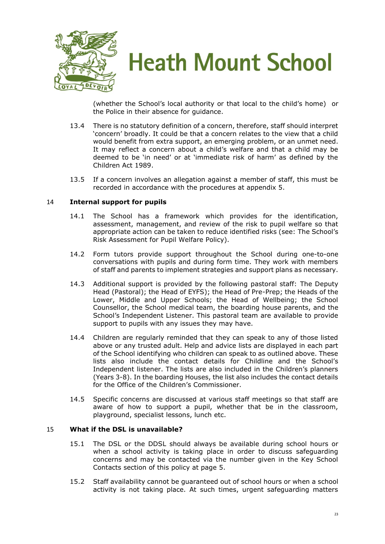

(whether the School's local authority or that local to the child's home) or the Police in their absence for guidance.

- 13.4 There is no statutory definition of a concern, therefore, staff should interpret 'concern' broadly. It could be that a concern relates to the view that a child would benefit from extra support, an emerging problem, or an unmet need. It may reflect a concern about a child's welfare and that a child may be deemed to be 'in need' or at 'immediate risk of harm' as defined by the Children Act 1989.
- 13.5 If a concern involves an allegation against a member of staff, this must be recorded in accordance with the procedures at appendix 5.

#### 14 **Internal support for pupils**

- 14.1 The School has a framework which provides for the identification, assessment, management, and review of the risk to pupil welfare so that appropriate action can be taken to reduce identified risks (see: The School's Risk Assessment for Pupil Welfare Policy).
- 14.2 Form tutors provide support throughout the School during one-to-one conversations with pupils and during form time. They work with members of staff and parents to implement strategies and support plans as necessary.
- 14.3 Additional support is provided by the following pastoral staff: The Deputy Head (Pastoral); the Head of EYFS); the Head of Pre-Prep; the Heads of the Lower, Middle and Upper Schools; the Head of Wellbeing; the School Counsellor, the School medical team, the boarding house parents, and the School's Independent Listener. This pastoral team are available to provide support to pupils with any issues they may have.
- 14.4 Children are regularly reminded that they can speak to any of those listed above or any trusted adult. Help and advice lists are displayed in each part of the School identifying who children can speak to as outlined above. These lists also include the contact details for Childline and the School's Independent listener. The lists are also included in the Children's planners (Years 3-8). In the boarding Houses, the list also includes the contact details for the Office of the Children's Commissioner.
- 14.5 Specific concerns are discussed at various staff meetings so that staff are aware of how to support a pupil, whether that be in the classroom, playground, specialist lessons, lunch etc.

#### 15 **What if the DSL is unavailable?**

- 15.1 The DSL or the DDSL should always be available during school hours or when a school activity is taking place in order to discuss safeguarding concerns and may be contacted via the number given in the Key School Contacts section of this policy at page 5.
- 15.2 Staff availability cannot be guaranteed out of school hours or when a school activity is not taking place. At such times, urgent safeguarding matters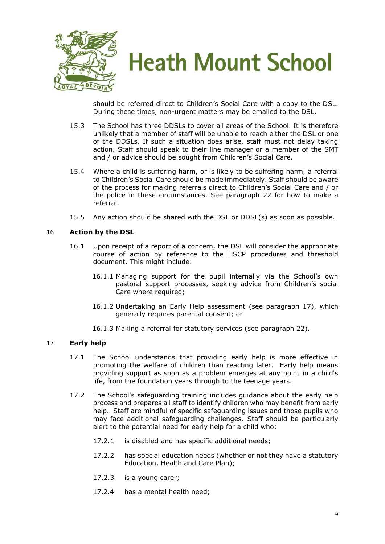

should be referred direct to Children's Social Care with a copy to the DSL. During these times, non-urgent matters may be emailed to the DSL.

- 15.3 The School has three DDSLs to cover all areas of the School. It is therefore unlikely that a member of staff will be unable to reach either the DSL or one of the DDSLs. If such a situation does arise, staff must not delay taking action. Staff should speak to their line manager or a member of the SMT and / or advice should be sought from Children's Social Care.
- 15.4 Where a child is suffering harm, or is likely to be suffering harm, a referral to Children's Social Care should be made immediately. Staff should be aware of the process for making referrals direct to Children's Social Care and / or the police in these circumstances. See paragraph 22 for how to make a referral.
- 15.5 Any action should be shared with the DSL or DDSL(s) as soon as possible.

#### 16 **Action by the DSL**

- 16.1 Upon receipt of a report of a concern, the DSL will consider the appropriate course of action by reference to the HSCP procedures and threshold document. This might include:
	- 16.1.1 Managing support for the pupil internally via the School's own pastoral support processes, seeking advice from Children's social Care where required;
	- 16.1.2 Undertaking an Early Help assessment (see paragraph 17), which generally requires parental consent; or
	- 16.1.3 Making a referral for statutory services (see paragraph 22).

#### 17 **Early help**

- 17.1 The School understands that providing early help is more effective in promoting the welfare of children than reacting later. Early help means providing support as soon as a problem emerges at any point in a child's life, from the foundation years through to the teenage years.
- 17.2 The School's safeguarding training includes guidance about the early help process and prepares all staff to identify children who may benefit from early help. Staff are mindful of specific safeguarding issues and those pupils who may face additional safeguarding challenges. Staff should be particularly alert to the potential need for early help for a child who:
	- 17.2.1 is disabled and has specific additional needs;
	- 17.2.2 has special education needs (whether or not they have a statutory Education, Health and Care Plan);
	- 17.2.3 is a young carer;
	- 17.2.4 has a mental health need;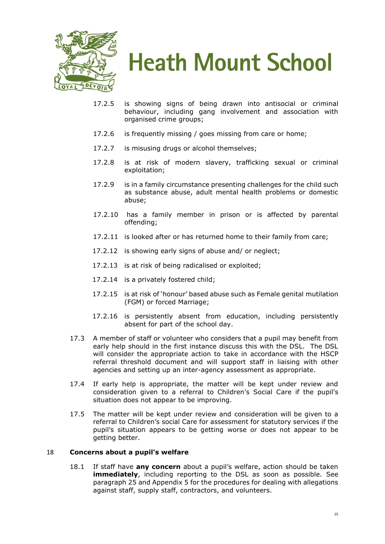

- 17.2.5 is showing signs of being drawn into antisocial or criminal behaviour, including gang involvement and association with organised crime groups;
- 17.2.6 is frequently missing / goes missing from care or home;
- 17.2.7 is misusing drugs or alcohol themselves;
- 17.2.8 is at risk of modern slavery, trafficking sexual or criminal exploitation;
- 17.2.9 is in a family circumstance presenting challenges for the child such as substance abuse, adult mental health problems or domestic abuse;
- 17.2.10 has a family member in prison or is affected by parental offending;
- 17.2.11 is looked after or has returned home to their family from care;
- 17.2.12 is showing early signs of abuse and/ or neglect;
- 17.2.13 is at risk of being radicalised or exploited;
- 17.2.14 is a privately fostered child;
- 17.2.15 is at risk of 'honour' based abuse such as Female genital mutilation (FGM) or forced Marriage;
- 17.2.16 is persistently absent from education, including persistently absent for part of the school day.
- 17.3 A member of staff or volunteer who considers that a pupil may benefit from early help should in the first instance discuss this with the DSL. The DSL will consider the appropriate action to take in accordance with the HSCP referral threshold document and will support staff in liaising with other agencies and setting up an inter-agency assessment as appropriate.
- 17.4 If early help is appropriate, the matter will be kept under review and consideration given to a referral to Children's Social Care if the pupil's situation does not appear to be improving.
- 17.5 The matter will be kept under review and consideration will be given to a referral to Children's social Care for assessment for statutory services if the pupil's situation appears to be getting worse or does not appear to be getting better.

#### 18 **Concerns about a pupil's welfare**

18.1 If staff have **any concern** about a pupil's welfare, action should be taken **immediately**, including reporting to the DSL as soon as possible. See paragraph 25 and Appendix 5 for the procedures for dealing with allegations against staff, supply staff, contractors, and volunteers.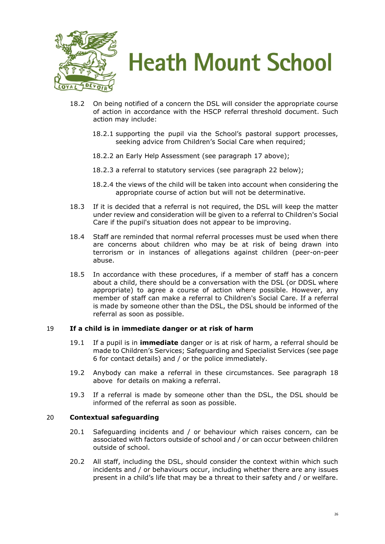

- 18.2 On being notified of a concern the DSL will consider the appropriate course of action in accordance with the HSCP referral threshold document. Such action may include:
	- 18.2.1 supporting the pupil via the School's pastoral support processes, seeking advice from Children's Social Care when required;
	- 18.2.2 an Early Help Assessment (see paragraph 17 above);
	- 18.2.3 a referral to statutory services (see paragraph 22 below);
	- 18.2.4 the views of the child will be taken into account when considering the appropriate course of action but will not be determinative.
- 18.3 If it is decided that a referral is not required, the DSL will keep the matter under review and consideration will be given to a referral to Children's Social Care if the pupil's situation does not appear to be improving.
- 18.4 Staff are reminded that normal referral processes must be used when there are concerns about children who may be at risk of being drawn into terrorism or in instances of allegations against children (peer-on-peer abuse.
- 18.5 In accordance with these procedures, if a member of staff has a concern about a child, there should be a conversation with the DSL (or DDSL where appropriate) to agree a course of action where possible. However, any member of staff can make a referral to Children's Social Care. If a referral is made by someone other than the DSL, the DSL should be informed of the referral as soon as possible.

#### 19 **If a child is in immediate danger or at risk of harm**

- 19.1 If a pupil is in **immediate** danger or is at risk of harm, a referral should be made to Children's Services; Safeguarding and Specialist Services (see page 6 for contact details) and / or the police immediately.
- 19.2 Anybody can make a referral in these circumstances. See paragraph 18 above for details on making a referral.
- 19.3 If a referral is made by someone other than the DSL, the DSL should be informed of the referral as soon as possible.

#### 20 **Contextual safeguarding**

- 20.1 Safeguarding incidents and / or behaviour which raises concern, can be associated with factors outside of school and / or can occur between children outside of school.
- 20.2 All staff, including the DSL, should consider the context within which such incidents and / or behaviours occur, including whether there are any issues present in a child's life that may be a threat to their safety and / or welfare.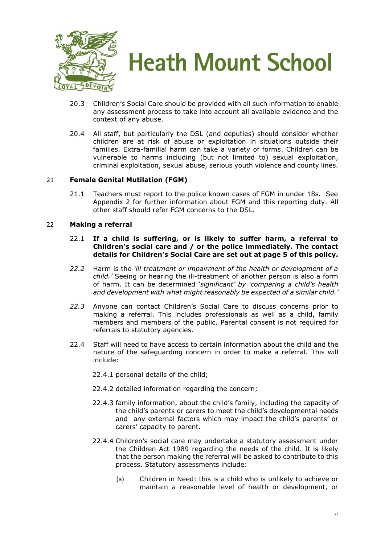

- 20.3 Children's Social Care should be provided with all such information to enable any assessment process to take into account all available evidence and the context of any abuse.
- 20.4 All staff, but particularly the DSL (and deputies) should consider whether children are at risk of abuse or exploitation in situations outside their families. Extra-familial harm can take a variety of forms. Children can be vulnerable to harms including (but not limited to) sexual exploitation, criminal exploitation, sexual abuse, serious youth violence and county lines.

#### 21 **Female Genital Mutilation (FGM)**

21.1 Teachers must report to the police known cases of FGM in under 18s. See Appendix 2 for further information about FGM and this reporting duty. All other staff should refer FGM concerns to the DSL.

#### 22 **Making a referral**

- 22.1 **If a child is suffering, or is likely to suffer harm, a referral to Children's social care and / or the police immediately. The contact details for Children's Social Care are set out at page 5 of this policy.**
- *22.2* Harm is the *'ill treatment or impairment of the health or development of a child.'* Seeing or hearing the ill-treatment of another person is also a form of harm. It can be determined *'significant' by 'comparing a child's health and development with what might reasonably be expected of a similar child.'*
- *22.3* Anyone can contact Children's Social Care to discuss concerns prior to making a referral. This includes professionals as well as a child, family members and members of the public. Parental consent is not required for referrals to statutory agencies.
- 22.4 Staff will need to have access to certain information about the child and the nature of the safeguarding concern in order to make a referral. This will include:
	- 22.4.1 personal details of the child;
	- 22.4.2 detailed information regarding the concern;
	- 22.4.3 family information, about the child's family, including the capacity of the child's parents or carers to meet the child's developmental needs and any external factors which may impact the child's parents' or carers' capacity to parent.
	- 22.4.4 Children's social care may undertake a statutory assessment under the Children Act 1989 regarding the needs of the child. It is likely that the person making the referral will be asked to contribute to this process. Statutory assessments include:
		- (a) Children in Need: this is a child who is unlikely to achieve or maintain a reasonable level of health or development, or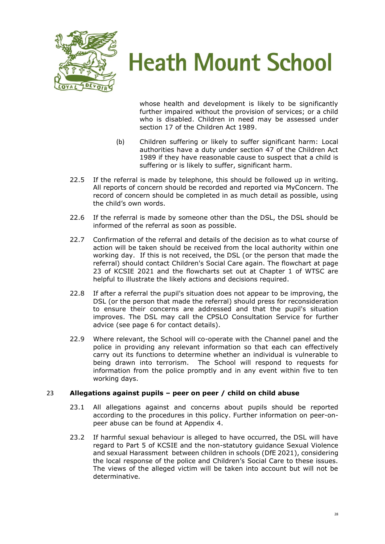

whose health and development is likely to be significantly further impaired without the provision of services; or a child who is disabled. Children in need may be assessed under section 17 of the Children Act 1989.

- (b) Children suffering or likely to suffer significant harm: Local authorities have a duty under section 47 of the Children Act 1989 if they have reasonable cause to suspect that a child is suffering or is likely to suffer, significant harm.
- 22.5 If the referral is made by telephone, this should be followed up in writing. All reports of concern should be recorded and reported via MyConcern. The record of concern should be completed in as much detail as possible, using the child's own words.
- 22.6 If the referral is made by someone other than the DSL, the DSL should be informed of the referral as soon as possible.
- 22.7 Confirmation of the referral and details of the decision as to what course of action will be taken should be received from the local authority within one working day. If this is not received, the DSL (or the person that made the referral) should contact Children's Social Care again. The flowchart at page 23 of KCSIE 2021 and the flowcharts set out at Chapter 1 of WTSC are helpful to illustrate the likely actions and decisions required.
- 22.8 If after a referral the pupil's situation does not appear to be improving, the DSL (or the person that made the referral) should press for reconsideration to ensure their concerns are addressed and that the pupil's situation improves. The DSL may call the CPSLO Consultation Service for further advice (see page 6 for contact details).
- 22.9 Where relevant, the School will co-operate with the Channel panel and the police in providing any relevant information so that each can effectively carry out its functions to determine whether an individual is vulnerable to being drawn into terrorism. The School will respond to requests for information from the police promptly and in any event within five to ten working days.

#### 23 **Allegations against pupils – peer on peer / child on child abuse**

- 23.1 All allegations against and concerns about pupils should be reported according to the procedures in this policy. Further information on peer-onpeer abuse can be found at Appendix 4.
- 23.2 If harmful sexual behaviour is alleged to have occurred, the DSL will have regard to Part 5 of KCSIE and the non-statutory guidance Sexual Violence and sexual Harassment between children in schools (DfE 2021), considering the local response of the police and Children's Social Care to these issues. The views of the alleged victim will be taken into account but will not be determinative.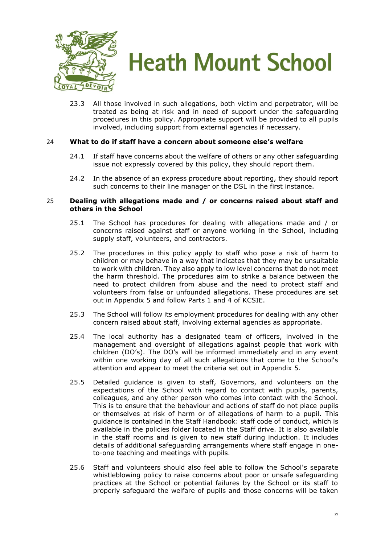

23.3 All those involved in such allegations, both victim and perpetrator, will be treated as being at risk and in need of support under the safeguarding procedures in this policy. Appropriate support will be provided to all pupils involved, including support from external agencies if necessary.

#### 24 **What to do if staff have a concern about someone else's welfare**

- 24.1 If staff have concerns about the welfare of others or any other safeguarding issue not expressly covered by this policy, they should report them.
- 24.2 In the absence of an express procedure about reporting, they should report such concerns to their line manager or the DSL in the first instance.

#### 25 **Dealing with allegations made and / or concerns raised about staff and others in the School**

- 25.1 The School has procedures for dealing with allegations made and / or concerns raised against staff or anyone working in the School, including supply staff, volunteers, and contractors.
- 25.2 The procedures in this policy apply to staff who pose a risk of harm to children or may behave in a way that indicates that they may be unsuitable to work with children. They also apply to low level concerns that do not meet the harm threshold. The procedures aim to strike a balance between the need to protect children from abuse and the need to protect staff and volunteers from false or unfounded allegations. These procedures are set out in Appendix 5 and follow Parts 1 and 4 of KCSIE.
- 25.3 The School will follow its employment procedures for dealing with any other concern raised about staff, involving external agencies as appropriate.
- 25.4 The local authority has a designated team of officers, involved in the management and oversight of allegations against people that work with children (DO's). The DO's will be informed immediately and in any event within one working day of all such allegations that come to the School's attention and appear to meet the criteria set out in Appendix 5.
- 25.5 Detailed guidance is given to staff, Governors, and volunteers on the expectations of the School with regard to contact with pupils, parents, colleagues, and any other person who comes into contact with the School. This is to ensure that the behaviour and actions of staff do not place pupils or themselves at risk of harm or of allegations of harm to a pupil. This guidance is contained in the Staff Handbook: staff code of conduct, which is available in the policies folder located in the Staff drive. It is also available in the staff rooms and is given to new staff during induction. It includes details of additional safeguarding arrangements where staff engage in oneto-one teaching and meetings with pupils.
- 25.6 Staff and volunteers should also feel able to follow the School's separate whistleblowing policy to raise concerns about poor or unsafe safeguarding practices at the School or potential failures by the School or its staff to properly safeguard the welfare of pupils and those concerns will be taken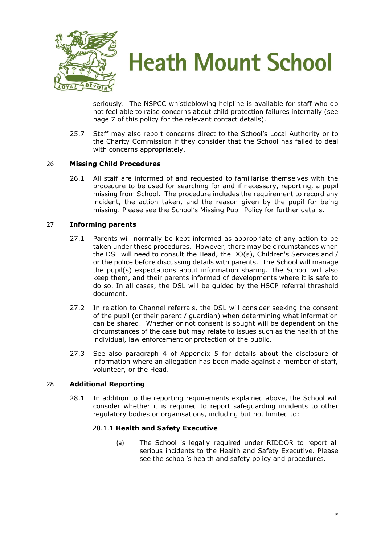

seriously. The NSPCC whistleblowing helpline is available for staff who do not feel able to raise concerns about child protection failures internally (see page 7 of this policy for the relevant contact details).

25.7 Staff may also report concerns direct to the School's Local Authority or to the Charity Commission if they consider that the School has failed to deal with concerns appropriately.

#### 26 **Missing Child Procedures**

26.1 All staff are informed of and requested to familiarise themselves with the procedure to be used for searching for and if necessary, reporting, a pupil missing from School. The procedure includes the requirement to record any incident, the action taken, and the reason given by the pupil for being missing. Please see the School's Missing Pupil Policy for further details.

#### 27 **Informing parents**

- 27.1 Parents will normally be kept informed as appropriate of any action to be taken under these procedures. However, there may be circumstances when the DSL will need to consult the Head, the DO(s), Children's Services and / or the police before discussing details with parents. The School will manage the pupil(s) expectations about information sharing. The School will also keep them, and their parents informed of developments where it is safe to do so. In all cases, the DSL will be guided by the HSCP referral threshold document.
- 27.2 In relation to Channel referrals, the DSL will consider seeking the consent of the pupil (or their parent / guardian) when determining what information can be shared. Whether or not consent is sought will be dependent on the circumstances of the case but may relate to issues such as the health of the individual, law enforcement or protection of the public.
- 27.3 See also paragraph 4 of Appendix 5 for details about the disclosure of information where an allegation has been made against a member of staff, volunteer, or the Head.

#### 28 **Additional Reporting**

28.1 In addition to the reporting requirements explained above, the School will consider whether it is required to report safeguarding incidents to other regulatory bodies or organisations, including but not limited to:

#### 28.1.1 **Health and Safety Executive**

(a) The School is legally required under RIDDOR to report all serious incidents to the Health and Safety Executive. Please see the school's health and safety policy and procedures.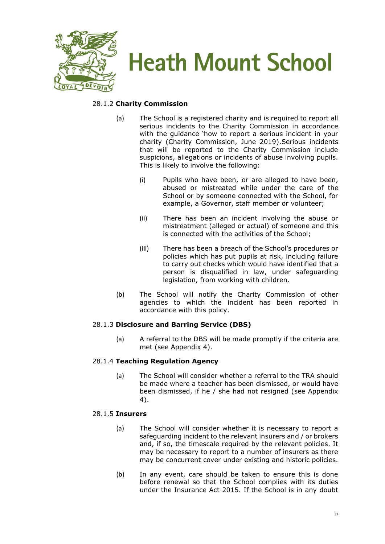

#### 28.1.2 **Charity Commission**

- (a) The School is a registered charity and is required to report all serious incidents to the Charity Commission in accordance with the guidance 'how to report a serious incident in your charity (Charity Commission, June 2019).Serious incidents that will be reported to the Charity Commission include suspicions, allegations or incidents of abuse involving pupils. This is likely to involve the following:
	- (i) Pupils who have been, or are alleged to have been, abused or mistreated while under the care of the School or by someone connected with the School, for example, a Governor, staff member or volunteer;
	- (ii) There has been an incident involving the abuse or mistreatment (alleged or actual) of someone and this is connected with the activities of the School;
	- (iii) There has been a breach of the School's procedures or policies which has put pupils at risk, including failure to carry out checks which would have identified that a person is disqualified in law, under safeguarding legislation, from working with children.
- (b) The School will notify the Charity Commission of other agencies to which the incident has been reported in accordance with this policy.

#### 28.1.3 **Disclosure and Barring Service (DBS)**

(a) A referral to the DBS will be made promptly if the criteria are met (see Appendix 4).

#### 28.1.4 **Teaching Regulation Agency**

(a) The School will consider whether a referral to the TRA should be made where a teacher has been dismissed, or would have been dismissed, if he / she had not resigned (see Appendix 4).

#### 28.1.5 **Insurers**

- (a) The School will consider whether it is necessary to report a safeguarding incident to the relevant insurers and / or brokers and, if so, the timescale required by the relevant policies. It may be necessary to report to a number of insurers as there may be concurrent cover under existing and historic policies.
- (b) In any event, care should be taken to ensure this is done before renewal so that the School complies with its duties under the Insurance Act 2015. If the School is in any doubt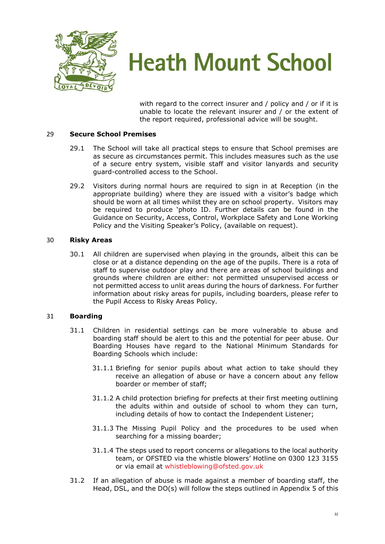

with regard to the correct insurer and / policy and / or if it is unable to locate the relevant insurer and / or the extent of the report required, professional advice will be sought.

#### 29 **Secure School Premises**

- 29.1 The School will take all practical steps to ensure that School premises are as secure as circumstances permit. This includes measures such as the use of a secure entry system, visible staff and visitor lanyards and security guard-controlled access to the School.
- 29.2 Visitors during normal hours are required to sign in at Reception (in the appropriate building) where they are issued with a visitor's badge which should be worn at all times whilst they are on school property. Visitors may be required to produce 'photo ID. Further details can be found in the Guidance on Security, Access, Control, Workplace Safety and Lone Working Policy and the Visiting Speaker's Policy, (available on request).

#### 30 **Risky Areas**

30.1 All children are supervised when playing in the grounds, albeit this can be close or at a distance depending on the age of the pupils. There is a rota of staff to supervise outdoor play and there are areas of school buildings and grounds where children are either: not permitted unsupervised access or not permitted access to unlit areas during the hours of darkness. For further information about risky areas for pupils, including boarders, please refer to the Pupil Access to Risky Areas Policy.

#### 31 **Boarding**

- 31.1 Children in residential settings can be more vulnerable to abuse and boarding staff should be alert to this and the potential for peer abuse. Our Boarding Houses have regard to the National Minimum Standards for Boarding Schools which include:
	- 31.1.1 Briefing for senior pupils about what action to take should they receive an allegation of abuse or have a concern about any fellow boarder or member of staff;
	- 31.1.2 A child protection briefing for prefects at their first meeting outlining the adults within and outside of school to whom they can turn, including details of how to contact the Independent Listener;
	- 31.1.3 The Missing Pupil Policy and the procedures to be used when searching for a missing boarder;
	- 31.1.4 The steps used to report concerns or allegations to the local authority team, or OFSTED via the whistle blowers' Hotline on 0300 123 3155 or via email at [whistleblowing@ofsted.gov.uk](mailto:whistleblowing@ofsted.gov.uk)
- 31.2 If an allegation of abuse is made against a member of boarding staff, the Head, DSL, and the DO(s) will follow the steps outlined in Appendix 5 of this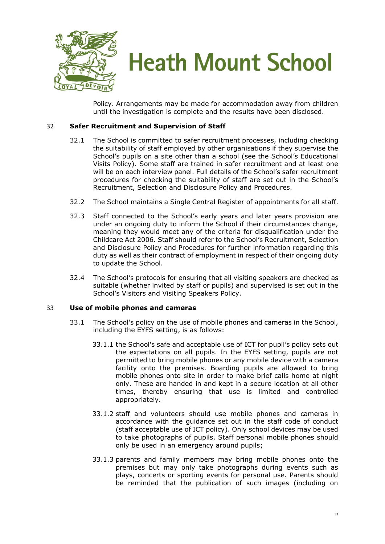

Policy. Arrangements may be made for accommodation away from children until the investigation is complete and the results have been disclosed.

#### 32 **Safer Recruitment and Supervision of Staff**

- 32.1 The School is committed to safer recruitment processes, including checking the suitability of staff employed by other organisations if they supervise the School's pupils on a site other than a school (see the School's Educational Visits Policy). Some staff are trained in safer recruitment and at least one will be on each interview panel. Full details of the School's safer recruitment procedures for checking the suitability of staff are set out in the School's Recruitment, Selection and Disclosure Policy and Procedures.
- 32.2 The School maintains a Single Central Register of appointments for all staff.
- 32.3 Staff connected to the School's early years and later years provision are under an ongoing duty to inform the School if their circumstances change, meaning they would meet any of the criteria for disqualification under the Childcare Act 2006. Staff should refer to the School's Recruitment, Selection and Disclosure Policy and Procedures for further information regarding this duty as well as their contract of employment in respect of their ongoing duty to update the School.
- 32.4 The School's protocols for ensuring that all visiting speakers are checked as suitable (whether invited by staff or pupils) and supervised is set out in the School's Visitors and Visiting Speakers Policy.

#### 33 **Use of mobile phones and cameras**

- 33.1 The School's policy on the use of mobile phones and cameras in the School, including the EYFS setting, is as follows:
	- 33.1.1 the School's safe and acceptable use of ICT for pupil's policy sets out the expectations on all pupils. In the EYFS setting, pupils are not permitted to bring mobile phones or any mobile device with a camera facility onto the premises. Boarding pupils are allowed to bring mobile phones onto site in order to make brief calls home at night only. These are handed in and kept in a secure location at all other times, thereby ensuring that use is limited and controlled appropriately.
	- 33.1.2 staff and volunteers should use mobile phones and cameras in accordance with the guidance set out in the staff code of conduct (staff acceptable use of ICT policy). Only school devices may be used to take photographs of pupils. Staff personal mobile phones should only be used in an emergency around pupils;
	- 33.1.3 parents and family members may bring mobile phones onto the premises but may only take photographs during events such as plays, concerts or sporting events for personal use. Parents should be reminded that the publication of such images (including on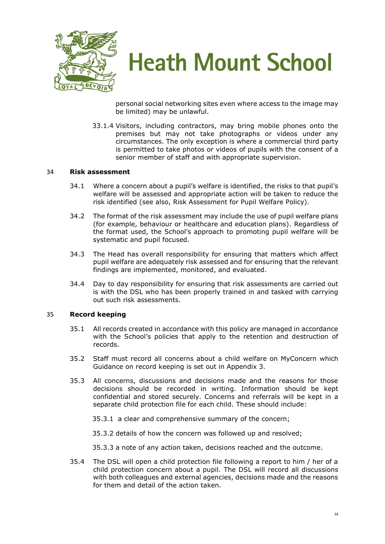

personal social networking sites even where access to the image may be limited) may be unlawful.

33.1.4 Visitors, including contractors, may bring mobile phones onto the premises but may not take photographs or videos under any circumstances. The only exception is where a commercial third party is permitted to take photos or videos of pupils with the consent of a senior member of staff and with appropriate supervision.

#### 34 **Risk assessment**

- 34.1 Where a concern about a pupil's welfare is identified, the risks to that pupil's welfare will be assessed and appropriate action will be taken to reduce the risk identified (see also, Risk Assessment for Pupil Welfare Policy).
- 34.2 The format of the risk assessment may include the use of pupil welfare plans (for example, behaviour or healthcare and education plans). Regardless of the format used, the School's approach to promoting pupil welfare will be systematic and pupil focused.
- 34.3 The Head has overall responsibility for ensuring that matters which affect pupil welfare are adequately risk assessed and for ensuring that the relevant findings are implemented, monitored, and evaluated.
- 34.4 Day to day responsibility for ensuring that risk assessments are carried out is with the DSL who has been properly trained in and tasked with carrying out such risk assessments.

#### 35 **Record keeping**

- 35.1 All records created in accordance with this policy are managed in accordance with the School's policies that apply to the retention and destruction of records.
- 35.2 Staff must record all concerns about a child welfare on MyConcern which Guidance on record keeping is set out in Appendix 3.
- 35.3 All concerns, discussions and decisions made and the reasons for those decisions should be recorded in writing. Information should be kept confidential and stored securely. Concerns and referrals will be kept in a separate child protection file for each child. These should include:

35.3.1 a clear and comprehensive summary of the concern;

35.3.2 details of how the concern was followed up and resolved;

35.3.3 a note of any action taken, decisions reached and the outcome.

35.4 The DSL will open a child protection file following a report to him / her of a child protection concern about a pupil. The DSL will record all discussions with both colleagues and external agencies, decisions made and the reasons for them and detail of the action taken.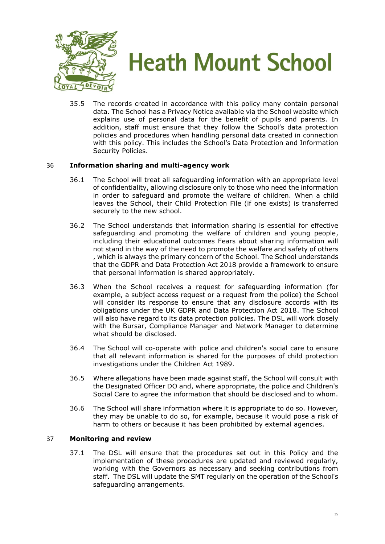

35.5 The records created in accordance with this policy many contain personal data. The School has a Privacy Notice available via the School website which explains use of personal data for the benefit of pupils and parents. In addition, staff must ensure that they follow the School's data protection policies and procedures when handling personal data created in connection with this policy. This includes the School's Data Protection and Information Security Policies.

#### 36 **Information sharing and multi-agency work**

- 36.1 The School will treat all safeguarding information with an appropriate level of confidentiality, allowing disclosure only to those who need the information in order to safeguard and promote the welfare of children. When a child leaves the School, their Child Protection File (if one exists) is transferred securely to the new school.
- 36.2 The School understands that information sharing is essential for effective safeguarding and promoting the welfare of children and young people, including their educational outcomes Fears about sharing information will not stand in the way of the need to promote the welfare and safety of others , which is always the primary concern of the School. The School understands that the GDPR and Data Protection Act 2018 provide a framework to ensure that personal information is shared appropriately.
- 36.3 When the School receives a request for safeguarding information (for example, a subject access request or a request from the police) the School will consider its response to ensure that any disclosure accords with its obligations under the UK GDPR and Data Protection Act 2018. The School will also have regard to its data protection policies. The DSL will work closely with the Bursar, Compliance Manager and Network Manager to determine what should be disclosed.
- 36.4 The School will co-operate with police and children's social care to ensure that all relevant information is shared for the purposes of child protection investigations under the Children Act 1989.
- 36.5 Where allegations have been made against staff, the School will consult with the Designated Officer DO and, where appropriate, the police and Children's Social Care to agree the information that should be disclosed and to whom.
- 36.6 The School will share information where it is appropriate to do so. However, they may be unable to do so, for example, because it would pose a risk of harm to others or because it has been prohibited by external agencies.

#### 37 **Monitoring and review**

37.1 The DSL will ensure that the procedures set out in this Policy and the implementation of these procedures are updated and reviewed regularly, working with the Governors as necessary and seeking contributions from staff. The DSL will update the SMT regularly on the operation of the School's safeguarding arrangements.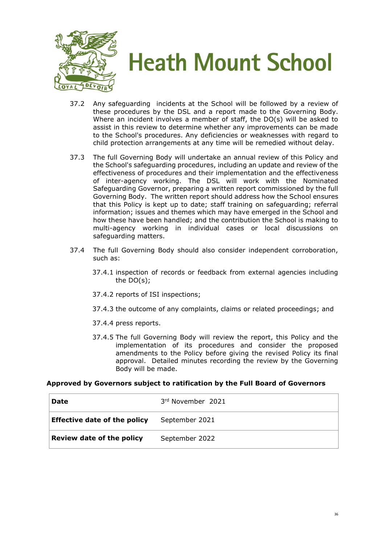

- 37.2 Any safeguarding incidents at the School will be followed by a review of these procedures by the DSL and a report made to the Governing Body. Where an incident involves a member of staff, the DO(s) will be asked to assist in this review to determine whether any improvements can be made to the School's procedures. Any deficiencies or weaknesses with regard to child protection arrangements at any time will be remedied without delay.
- 37.3 The full Governing Body will undertake an annual review of this Policy and the School's safeguarding procedures, including an update and review of the effectiveness of procedures and their implementation and the effectiveness of inter-agency working. The DSL will work with the Nominated Safeguarding Governor, preparing a written report commissioned by the full Governing Body. The written report should address how the School ensures that this Policy is kept up to date; staff training on safeguarding; referral information; issues and themes which may have emerged in the School and how these have been handled; and the contribution the School is making to multi-agency working in individual cases or local discussions on safeguarding matters.
- 37.4 The full Governing Body should also consider independent corroboration, such as:
	- 37.4.1 inspection of records or feedback from external agencies including the DO(s);
	- 37.4.2 reports of ISI inspections;
	- 37.4.3 the outcome of any complaints, claims or related proceedings; and
	- 37.4.4 press reports.
	- 37.4.5 The full Governing Body will review the report, this Policy and the implementation of its procedures and consider the proposed amendments to the Policy before giving the revised Policy its final approval. Detailed minutes recording the review by the Governing Body will be made.

#### **Approved by Governors subject to ratification by the Full Board of Governors**

| <b>Date</b>                         | 3rd November 2021 |
|-------------------------------------|-------------------|
| <b>Effective date of the policy</b> | September 2021    |
| <b>Review date of the policy</b>    | September 2022    |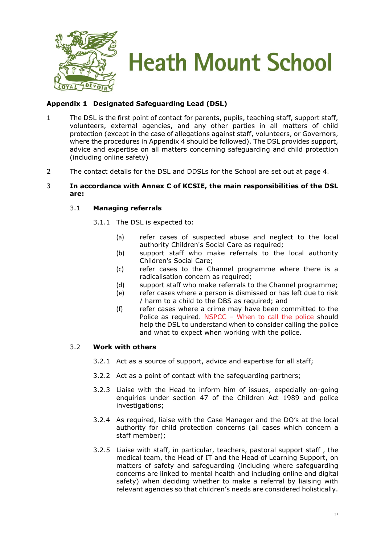

#### **Appendix 1 Designated Safeguarding Lead (DSL)**

- 1 The DSL is the first point of contact for parents, pupils, teaching staff, support staff, volunteers, external agencies, and any other parties in all matters of child protection (except in the case of allegations against staff, volunteers, or Governors, where the procedures in Appendix 4 should be followed). The DSL provides support, advice and expertise on all matters concerning safeguarding and child protection (including online safety)
- 2 The contact details for the DSL and DDSLs for the School are set out at page 4.

#### 3 **In accordance with Annex C of KCSIE, the main responsibilities of the DSL are:**

#### 3.1 **Managing referrals**

- 3.1.1 The DSL is expected to:
	- (a) refer cases of suspected abuse and neglect to the local authority Children's Social Care as required;
	- (b) support staff who make referrals to the local authority Children's Social Care;
	- (c) refer cases to the Channel programme where there is a radicalisation concern as required;
	- (d) support staff who make referrals to the Channel programme;
	- (e) refer cases where a person is dismissed or has left due to risk / harm to a child to the DBS as required; and
	- (f) refer cases where a crime may have been committed to the Police as required. NSPCC – [When to call the police](https://www.npcc.police.uk/documents/Children%20and%20Young%20people/When%20to%20call%20the%20police%20guidance%20for%20schools%20and%20colleges.pdf) should help the DSL to understand when to consider calling the police and what to expect when working with the police.

#### 3.2 **Work with others**

- 3.2.1 Act as a source of support, advice and expertise for all staff;
- 3.2.2 Act as a point of contact with the safeguarding partners;
- 3.2.3 Liaise with the Head to inform him of issues, especially on-going enquiries under section 47 of the Children Act 1989 and police investigations;
- 3.2.4 As required, liaise with the Case Manager and the DO's at the local authority for child protection concerns (all cases which concern a staff member);
- 3.2.5 Liaise with staff, in particular, teachers, pastoral support staff , the medical team, the Head of IT and the Head of Learning Support, on matters of safety and safeguarding (including where safeguarding concerns are linked to mental health and including online and digital safety) when deciding whether to make a referral by liaising with relevant agencies so that children's needs are considered holistically.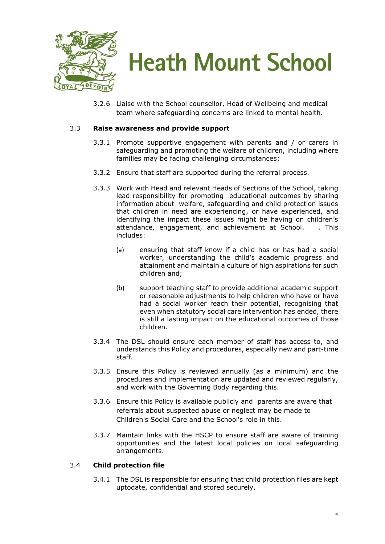

3.2.6 Liaise with the School counsellor, Head of Wellbeing and medical team where safeguarding concerns are linked to mental health.

#### 3.3 **Raise awareness and provide support**

- 3.3.1 Promote supportive engagement with parents and / or carers in safeguarding and promoting the welfare of children, including where families may be facing challenging circumstances;
- 3.3.2 Ensure that staff are supported during the referral process.
- 3.3.3 Work with Head and relevant Heads of Sections of the School, taking lead responsibility for promoting educational outcomes by sharing information about welfare, safeguarding and child protection issues that children in need are experiencing, or have experienced, and identifying the impact these issues might be having on children's attendance, engagement, and achievement at School. . This includes:
	- (a) ensuring that staff know if a child has or has had a social worker, understanding the child's academic progress and attainment and maintain a culture of high aspirations for such children and;
	- (b) support teaching staff to provide additional academic support or reasonable adjustments to help children who have or have had a social worker reach their potential, recognising that even when statutory social care intervention has ended, there is still a lasting impact on the educational outcomes of those children.
- 3.3.4 The DSL should ensure each member of staff has access to, and understands this Policy and procedures, especially new and part-time staff.
- 3.3.5 Ensure this Policy is reviewed annually (as a minimum) and the procedures and implementation are updated and reviewed regularly, and work with the Governing Body regarding this.
- 3.3.6 Ensure this Policy is available publicly and parents are aware that referrals about suspected abuse or neglect may be made to Children's Social Care and the School's role in this.
- 3.3.7 Maintain links with the HSCP to ensure staff are aware of training opportunities and the latest local policies on local safeguarding arrangements.

#### 3.4 **Child protection file**

3.4.1 The DSL is responsible for ensuring that child protection files are kept uptodate, confidential and stored securely.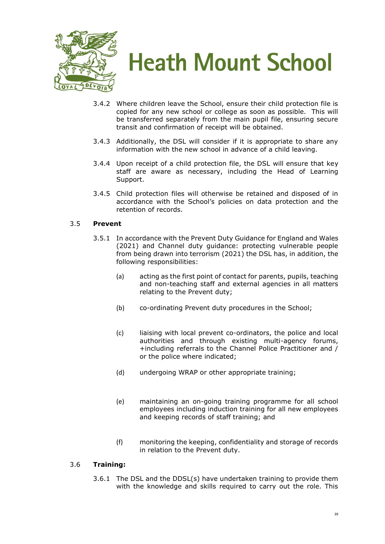

- 3.4.2 Where children leave the School, ensure their child protection file is copied for any new school or college as soon as possible. This will be transferred separately from the main pupil file, ensuring secure transit and confirmation of receipt will be obtained.
- 3.4.3 Additionally, the DSL will consider if it is appropriate to share any information with the new school in advance of a child leaving.
- 3.4.4 Upon receipt of a child protection file, the DSL will ensure that key staff are aware as necessary, including the Head of Learning Support.
- 3.4.5 Child protection files will otherwise be retained and disposed of in accordance with the School's policies on data protection and the retention of records.

#### 3.5 **Prevent**

- 3.5.1 In accordance with the Prevent Duty Guidance for England and Wales (2021) and Channel duty guidance: protecting vulnerable people from being drawn into terrorism (2021) the DSL has, in addition, the following responsibilities:
	- (a) acting as the first point of contact for parents, pupils, teaching and non-teaching staff and external agencies in all matters relating to the Prevent duty;
	- (b) co-ordinating Prevent duty procedures in the School;
	- (c) liaising with local prevent co-ordinators, the police and local authorities and through existing multi-agency forums, +including referrals to the Channel Police Practitioner and / or the police where indicated;
	- (d) undergoing WRAP or other appropriate training;
	- (e) maintaining an on-going training programme for all school employees including induction training for all new employees and keeping records of staff training; and
	- (f) monitoring the keeping, confidentiality and storage of records in relation to the Prevent duty.

#### 3.6 **Training:**

3.6.1 The DSL and the DDSL(s) have undertaken training to provide them with the knowledge and skills required to carry out the role. This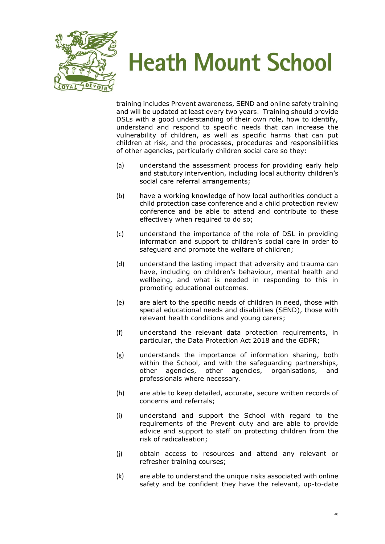

training includes Prevent awareness, SEND and online safety training and will be updated at least every two years. Training should provide DSLs with a good understanding of their own role, how to identify, understand and respond to specific needs that can increase the vulnerability of children, as well as specific harms that can put children at risk, and the processes, procedures and responsibilities of other agencies, particularly children social care so they:

- (a) understand the assessment process for providing early help and statutory intervention, including local authority children's social care referral arrangements;
- (b) have a working knowledge of how local authorities conduct a child protection case conference and a child protection review conference and be able to attend and contribute to these effectively when required to do so;
- (c) understand the importance of the role of DSL in providing information and support to children's social care in order to safeguard and promote the welfare of children;
- (d) understand the lasting impact that adversity and trauma can have, including on children's behaviour, mental health and wellbeing, and what is needed in responding to this in promoting educational outcomes.
- (e) are alert to the specific needs of children in need, those with special educational needs and disabilities (SEND), those with relevant health conditions and young carers;
- (f) understand the relevant data protection requirements, in particular, the Data Protection Act 2018 and the GDPR;
- (g) understands the importance of information sharing, both within the School, and with the safeguarding partnerships, other agencies, other agencies, organisations, and professionals where necessary.
- (h) are able to keep detailed, accurate, secure written records of concerns and referrals;
- (i) understand and support the School with regard to the requirements of the Prevent duty and are able to provide advice and support to staff on protecting children from the risk of radicalisation;
- (j) obtain access to resources and attend any relevant or refresher training courses;
- (k) are able to understand the unique risks associated with online safety and be confident they have the relevant, up-to-date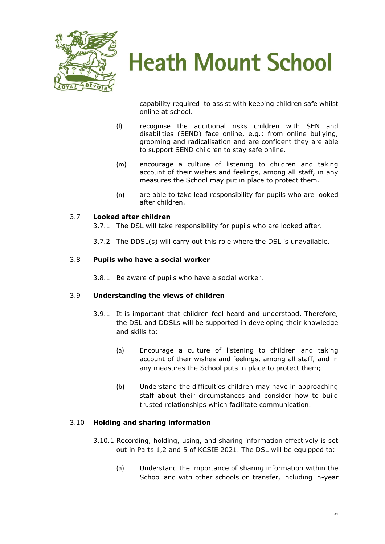

capability required to assist with keeping children safe whilst online at school.

- (l) recognise the additional risks children with SEN and disabilities (SEND) face online, e.g.: from online bullying, grooming and radicalisation and are confident they are able to support SEND children to stay safe online.
- (m) encourage a culture of listening to children and taking account of their wishes and feelings, among all staff, in any measures the School may put in place to protect them.
- (n) are able to take lead responsibility for pupils who are looked after children.

#### 3.7 **Looked after children**

3.7.1 The DSL will take responsibility for pupils who are looked after.

3.7.2 The DDSL(s) will carry out this role where the DSL is unavailable.

#### 3.8 **Pupils who have a social worker**

3.8.1 Be aware of pupils who have a social worker.

#### 3.9 **Understanding the views of children**

- 3.9.1 It is important that children feel heard and understood. Therefore, the DSL and DDSLs will be supported in developing their knowledge and skills to:
	- (a) Encourage a culture of listening to children and taking account of their wishes and feelings, among all staff, and in any measures the School puts in place to protect them;
	- (b) Understand the difficulties children may have in approaching staff about their circumstances and consider how to build trusted relationships which facilitate communication.

#### 3.10 **Holding and sharing information**

- 3.10.1 Recording, holding, using, and sharing information effectively is set out in Parts 1,2 and 5 of KCSIE 2021. The DSL will be equipped to:
	- (a) Understand the importance of sharing information within the School and with other schools on transfer, including in-year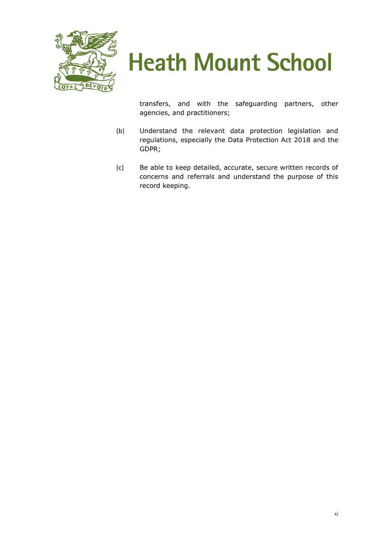

transfers, and with the safeguarding partners, other agencies, and practitioners;

- (b) Understand the relevant data protection legislation and regulations, especially the Data Protection Act 2018 and the GDPR;
- (c) Be able to keep detailed, accurate, secure written records of concerns and referrals and understand the purpose of this record keeping.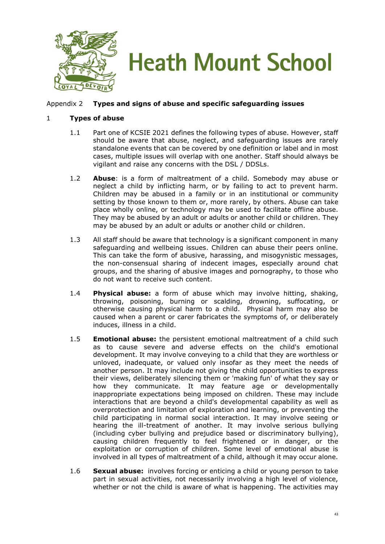

#### Appendix 2 **Types and signs of abuse and specific safeguarding issues**

#### 1 **Types of abuse**

- 1.1 Part one of KCSIE 2021 defines the following types of abuse. However, staff should be aware that abuse, neglect, and safeguarding issues are rarely standalone events that can be covered by one definition or label and in most cases, multiple issues will overlap with one another. Staff should always be vigilant and raise any concerns with the DSL / DDSLs.
- 1.2 **Abuse**: is a form of maltreatment of a child. Somebody may abuse or neglect a child by inflicting harm, or by failing to act to prevent harm. Children may be abused in a family or in an institutional or community setting by those known to them or, more rarely, by others. Abuse can take place wholly online, or technology may be used to facilitate offline abuse. They may be abused by an adult or adults or another child or children. They may be abused by an adult or adults or another child or children.
- 1.3 All staff should be aware that technology is a significant component in many safeguarding and wellbeing issues. Children can abuse their peers online. This can take the form of abusive, harassing, and misogynistic messages, the non-consensual sharing of indecent images, especially around chat groups, and the sharing of abusive images and pornography, to those who do not want to receive such content.
- 1.4 **Physical abuse:** a form of abuse which may involve hitting, shaking, throwing, poisoning, burning or scalding, drowning, suffocating, or otherwise causing physical harm to a child. Physical harm may also be caused when a parent or carer fabricates the symptoms of, or deliberately induces, illness in a child.
- 1.5 **Emotional abuse:** the persistent emotional maltreatment of a child such as to cause severe and adverse effects on the child's emotional development. It may involve conveying to a child that they are worthless or unloved, inadequate, or valued only insofar as they meet the needs of another person. It may include not giving the child opportunities to express their views, deliberately silencing them or 'making fun' of what they say or how they communicate. It may feature age or developmentally inappropriate expectations being imposed on children. These may include interactions that are beyond a child's developmental capability as well as overprotection and limitation of exploration and learning, or preventing the child participating in normal social interaction. It may involve seeing or hearing the ill-treatment of another. It may involve serious bullying (including cyber bullying and prejudice based or discriminatory bullying), causing children frequently to feel frightened or in danger, or the exploitation or corruption of children. Some level of emotional abuse is involved in all types of maltreatment of a child, although it may occur alone.
- 1.6 **Sexual abuse:** involves forcing or enticing a child or young person to take part in sexual activities, not necessarily involving a high level of violence, whether or not the child is aware of what is happening. The activities may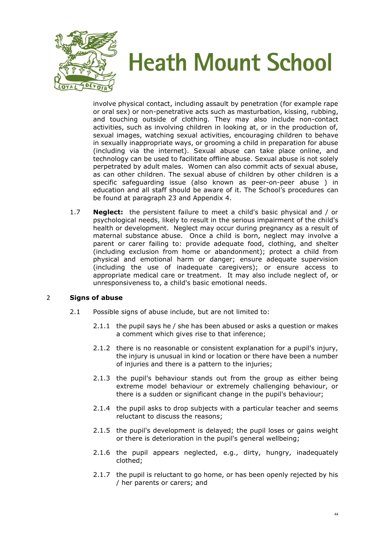

involve physical contact, including assault by penetration (for example rape or oral sex) or non-penetrative acts such as masturbation, kissing, rubbing, and touching outside of clothing. They may also include non-contact activities, such as involving children in looking at, or in the production of, sexual images, watching sexual activities, encouraging children to behave in sexually inappropriate ways, or grooming a child in preparation for abuse (including via the internet). Sexual abuse can take place online, and technology can be used to facilitate offline abuse. Sexual abuse is not solely perpetrated by adult males. Women can also commit acts of sexual abuse, as can other children. The sexual abuse of children by other children is a specific safeguarding issue (also known as peer-on-peer abuse ) in education and all staff should be aware of it. The School's procedures can be found at paragraph 23 and Appendix 4.

1.7 **Neglect:** the persistent failure to meet a child's basic physical and / or psychological needs, likely to result in the serious impairment of the child's health or development. Neglect may occur during pregnancy as a result of maternal substance abuse. Once a child is born, neglect may involve a parent or carer failing to: provide adequate food, clothing, and shelter (including exclusion from home or abandonment); protect a child from physical and emotional harm or danger; ensure adequate supervision (including the use of inadequate caregivers); or ensure access to appropriate medical care or treatment. It may also include neglect of, or unresponsiveness to, a child's basic emotional needs.

#### 2 **Signs of abuse**

- 2.1 Possible signs of abuse include, but are not limited to:
	- 2.1.1 the pupil says he / she has been abused or asks a question or makes a comment which gives rise to that inference;
	- 2.1.2 there is no reasonable or consistent explanation for a pupil's injury, the injury is unusual in kind or location or there have been a number of injuries and there is a pattern to the injuries;
	- 2.1.3 the pupil's behaviour stands out from the group as either being extreme model behaviour or extremely challenging behaviour, or there is a sudden or significant change in the pupil's behaviour;
	- 2.1.4 the pupil asks to drop subjects with a particular teacher and seems reluctant to discuss the reasons;
	- 2.1.5 the pupil's development is delayed; the pupil loses or gains weight or there is deterioration in the pupil's general wellbeing;
	- 2.1.6 the pupil appears neglected, e.g., dirty, hungry, inadequately clothed;
	- 2.1.7 the pupil is reluctant to go home, or has been openly rejected by his / her parents or carers; and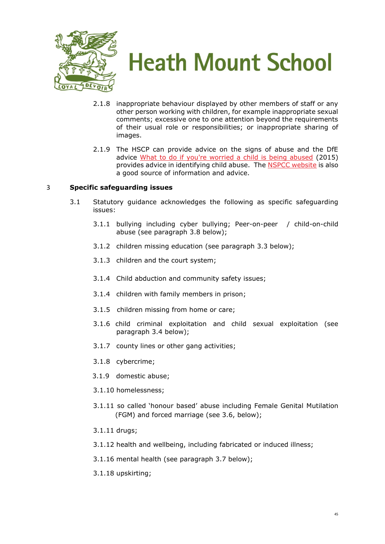

- 2.1.8 inappropriate behaviour displayed by other members of staff or any other person working with children, for example inappropriate sexual comments; excessive one to one attention beyond the requirements of their usual role or responsibilities; or inappropriate sharing of images.
- 2.1.9 The HSCP can provide advice on the signs of abuse and the DfE advice [What to do if you're worried a child is being abused](https://www.gov.uk/government/publications/what-to-do-if-youre-worried-a-child-is-being-abused--2) (2015) provides advice in identifying child abuse. The [NSPCC website](https://www.nspcc.org.uk/) is also a good source of information and advice.

#### 3 **Specific safeguarding issues**

- 3.1 Statutory guidance acknowledges the following as specific safeguarding issues:
	- 3.1.1 bullying including cyber bullying; Peer-on-peer / child-on-child abuse (see paragraph 3.8 below);
	- 3.1.2 children missing education (see paragraph 3.3 below);
	- 3.1.3 children and the court system;
	- 3.1.4 Child abduction and community safety issues;
	- 3.1.4 children with family members in prison;
	- 3.1.5 children missing from home or care;
	- 3.1.6 child criminal exploitation and child sexual exploitation (see paragraph [3.4](#page-46-0) below);
	- 3.1.7 county lines or other gang activities;
	- 3.1.8 cybercrime;
	- 3.1.9 domestic abuse;
	- 3.1.10 homelessness;
	- 3.1.11 so called 'honour based' abuse including Female Genital Mutilation (FGM) and forced marriage (see 3.6, below);
	- 3.1.11 drugs;
	- 3.1.12 health and wellbeing, including fabricated or induced illness;
	- 3.1.16 mental health (see paragraph 3.7 below);
	- 3.1.18 upskirting;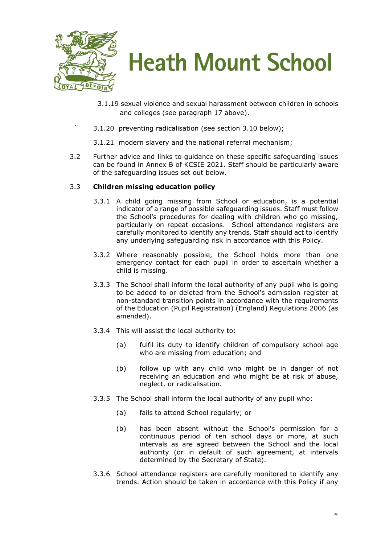

- 3.1.19 sexual violence and sexual harassment between children in schools and colleges (see paragraph 17 above).
- ` 3.1.20 preventing radicalisation (see section [3.10](#page-50-0) below);
- 3.1.21 modern slavery and the national referral mechanism;
- 3.2 Further advice and links to guidance on these specific safeguarding issues can be found in Annex B of KCSIE 2021. Staff should be particularly aware of the safeguarding issues set out below.

#### 3.3 **Children missing education policy**

- 3.3.1 A child going missing from School or education, is a potential indicator of a range of possible safeguarding issues. Staff must follow the School's procedures for dealing with children who go missing, particularly on repeat occasions. School attendance registers are carefully monitored to identify any trends. Staff should act to identify any underlying safeguarding risk in accordance with this Policy.
- 3.3.2 Where reasonably possible, the School holds more than one emergency contact for each pupil in order to ascertain whether a child is missing.
- 3.3.3 The School shall inform the local authority of any pupil who is going to be added to or deleted from the School's admission register at non-standard transition points in accordance with the requirements of the Education (Pupil Registration) (England) Regulations 2006 (as amended).
- 3.3.4 This will assist the local authority to:
	- (a) fulfil its duty to identify children of compulsory school age who are missing from education; and
	- (b) follow up with any child who might be in danger of not receiving an education and who might be at risk of abuse, neglect, or radicalisation.
- 3.3.5 The School shall inform the local authority of any pupil who:
	- (a) fails to attend School regularly; or
	- (b) has been absent without the School's permission for a continuous period of ten school days or more, at such intervals as are agreed between the School and the local authority (or in default of such agreement, at intervals determined by the Secretary of State).
- 3.3.6 School attendance registers are carefully monitored to identify any trends. Action should be taken in accordance with this Policy if any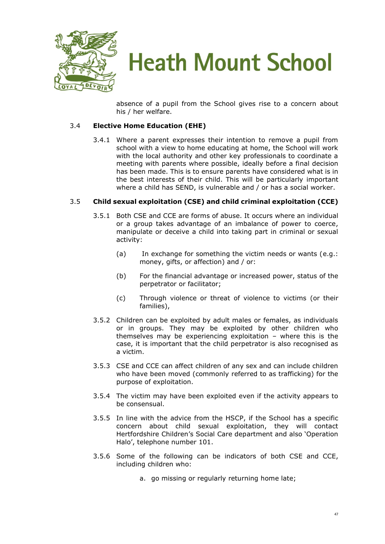

absence of a pupil from the School gives rise to a concern about his / her welfare.

#### <span id="page-46-0"></span>3.4 **Elective Home Education (EHE)**

3.4.1 Where a parent expresses their intention to remove a pupil from school with a view to home educating at home, the School will work with the local authority and other key professionals to coordinate a meeting with parents where possible, ideally before a final decision has been made. This is to ensure parents have considered what is in the best interests of their child. This will be particularly important where a child has SEND, is vulnerable and / or has a social worker.

#### 3.5 **Child sexual exploitation (CSE) and child criminal exploitation (CCE)**

- 3.5.1 Both CSE and CCE are forms of abuse. It occurs where an individual or a group takes advantage of an imbalance of power to coerce, manipulate or deceive a child into taking part in criminal or sexual activity:
	- (a) In exchange for something the victim needs or wants (e.g.: money, gifts, or affection) and / or:
	- (b) For the financial advantage or increased power, status of the perpetrator or facilitator;
	- (c) Through violence or threat of violence to victims (or their families),
- 3.5.2 Children can be exploited by adult males or females, as individuals or in groups. They may be exploited by other children who themselves may be experiencing exploitation – where this is the case, it is important that the child perpetrator is also recognised as a victim.
- 3.5.3 CSE and CCE can affect children of any sex and can include children who have been moved (commonly referred to as trafficking) for the purpose of exploitation.
- 3.5.4 The victim may have been exploited even if the activity appears to be consensual.
- 3.5.5 In line with the advice from the HSCP, if the School has a specific concern about child sexual exploitation, they will contact Hertfordshire Children's Social Care department and also 'Operation Halo', telephone number 101.
- 3.5.6 Some of the following can be indicators of both CSE and CCE, including children who:
	- a. go missing or regularly returning home late;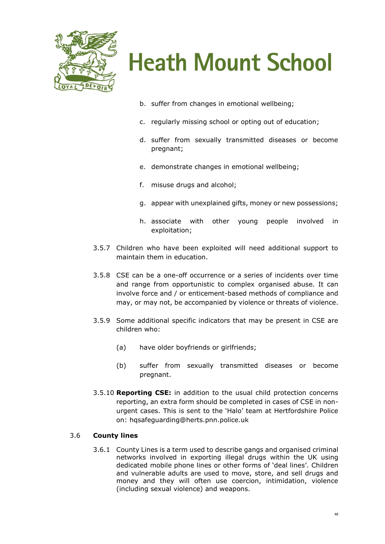

- b. suffer from changes in emotional wellbeing;
- c. regularly missing school or opting out of education;
- d. suffer from sexually transmitted diseases or become pregnant;
- e. demonstrate changes in emotional wellbeing;
- f. misuse drugs and alcohol;
- g. appear with unexplained gifts, money or new possessions;
- h. associate with other young people involved in exploitation;
- 3.5.7 Children who have been exploited will need additional support to maintain them in education.
- 3.5.8 CSE can be a one-off occurrence or a series of incidents over time and range from opportunistic to complex organised abuse. It can involve force and / or enticement-based methods of compliance and may, or may not, be accompanied by violence or threats of violence.
- 3.5.9 Some additional specific indicators that may be present in CSE are children who:
	- (a) have older boyfriends or girlfriends;
	- (b) suffer from sexually transmitted diseases or become pregnant.
- 3.5.10 **Reporting CSE:** in addition to the usual child protection concerns reporting, an extra form should be completed in cases of CSE in nonurgent cases. This is sent to the 'Halo' team at Hertfordshire Police on: [hqsafeguarding@herts.pnn.police.uk](mailto:hqsafeguarding@herts.pnn.police.uk)

#### 3.6 **County lines**

3.6.1 County Lines is a term used to describe gangs and organised criminal networks involved in exporting illegal drugs within the UK using dedicated mobile phone lines or other forms of 'deal lines'. Children and vulnerable adults are used to move, store, and sell drugs and money and they will often use coercion, intimidation, violence (including sexual violence) and weapons.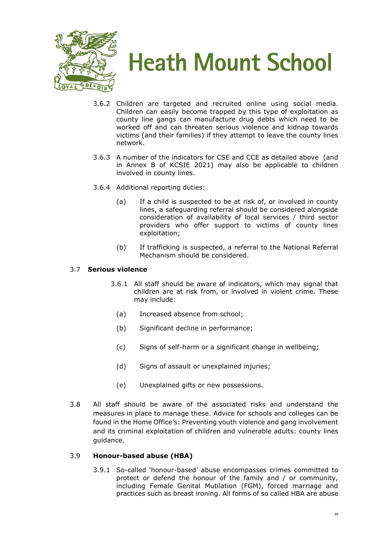

- 3.6.2 Children are targeted and recruited online using social media. Children can easily become trapped by this type of exploitation as county line gangs can manufacture drug debts which need to be worked off and can threaten serious violence and kidnap towards victims (and their families) if they attempt to leave the county lines network.
- 3.6.3 A number of the indicators for CSE and CCE as detailed above (and in Annex B of KCSIE 2021) may also be applicable to children involved in county lines.
- 3.6.4 Additional reporting duties:
	- (a) If a child is suspected to be at risk of, or involved in county lines, a safeguarding referral should be considered alongside consideration of availability of local services / third sector providers who offer support to victims of county lines exploitation;
	- (b) If trafficking is suspected, a referral to the National Referral Mechanism should be considered.

#### 3.7 **Serious violence**

- 3.6.1 All staff should be aware of indicators, which may signal that children are at risk from, or involved in violent crime. These may include:
	- (a) Increased absence from school;
	- (b) Significant decline in performance;
	- (c) Signs of self-harm or a significant change in wellbeing;
	- (d) Signs of assault or unexplained injuries;
	- (e) Unexplained gifts or new possessions.
- 3.8 All staff should be aware of the associated risks and understand the measures in place to manage these. Advice for schools and colleges can be found in the Home Office's: Preventing youth violence and gang involvement and its criminal exploitation of children and vulnerable adults: county lines guidance.

#### 3.9 **Honour-based abuse (HBA)**

3.9.1 So-called 'honour-based' abuse encompasses crimes committed to protect or defend the honour of the family and / or community, including Female Genital Mutilation (FGM), forced marriage and practices such as breast ironing. All forms of so called HBA are abuse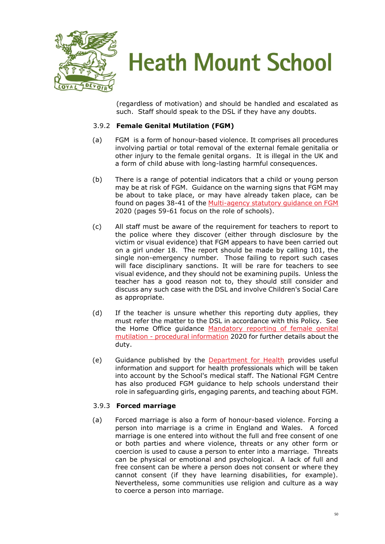

(regardless of motivation) and should be handled and escalated as such. Staff should speak to the DSL if they have any doubts.

#### 3.9.2 **Female Genital Mutilation (FGM)**

- (a) FGM is a form of honour-based violence. It comprises all procedures involving partial or total removal of the external female genitalia or other injury to the female genital organs. It is illegal in the UK and a form of child abuse with long-lasting harmful consequences.
- (b) There is a range of potential indicators that a child or young person may be at risk of FGM. Guidance on the warning signs that FGM may be about to take place, or may have already taken place, can be found on pages 38-41 of the [Multi-agency statutory guidance on FGM](https://www.gov.uk/government/publications/multi-agency-statutory-guidance-on-female-genital-mutilation) 2020 (pages 59-61 focus on the role of schools).
- (c) All staff must be aware of the requirement for teachers to report to the police where they discover (either through disclosure by the victim or visual evidence) that FGM appears to have been carried out on a girl under 18. The report should be made by calling 101, the single non-emergency number. Those failing to report such cases will face disciplinary sanctions. It will be rare for teachers to see visual evidence, and they should not be examining pupils. Unless the teacher has a good reason not to, they should still consider and discuss any such case with the DSL and involve Children's Social Care as appropriate.
- (d) If the teacher is unsure whether this reporting duty applies, they must refer the matter to the DSL in accordance with this Policy. See the Home Office guidance [Mandatory reporting of female genital](https://www.gov.uk/government/publications/mandatory-reporting-of-female-genital-mutilation-procedural-information)  mutilation - [procedural information](https://www.gov.uk/government/publications/mandatory-reporting-of-female-genital-mutilation-procedural-information) 2020 for further details about the duty.
- (e) Guidance published by the [Department for Health](https://www.gov.uk/government/publications/fgm-mandatory-reporting-in-healthcare) provides useful information and support for health professionals which will be taken into account by the School's medical staff. The National FGM Centre has also produced FGM guidance to help schools understand their role in safeguarding girls, engaging parents, and teaching about FGM.

#### 3.9.3 **Forced marriage**

(a) Forced marriage is also a form of honour-based violence. Forcing a person into marriage is a crime in England and Wales. A forced marriage is one entered into without the full and free consent of one or both parties and where violence, threats or any other form or coercion is used to cause a person to enter into a marriage. Threats can be physical or emotional and psychological. A lack of full and free consent can be where a person does not consent or where they cannot consent (if they have learning disabilities, for example). Nevertheless, some communities use religion and culture as a way to coerce a person into marriage.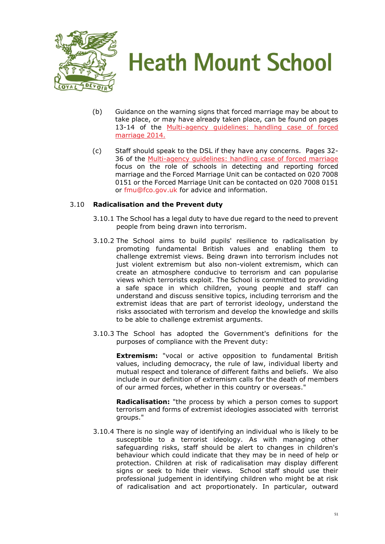

- (b) Guidance on the warning signs that forced marriage may be about to take place, or may have already taken place, can be found on pages 13-14 of the [Multi-agency guidelines: handling case of forced](https://www.gov.uk/government/uploads/system/uploads/attachment_data/file/322307/HMG_MULTI_AGENCY_PRACTICE_GUIDELINES_v1_180614_FINAL.pdf)  [marriage](https://www.gov.uk/government/uploads/system/uploads/attachment_data/file/322307/HMG_MULTI_AGENCY_PRACTICE_GUIDELINES_v1_180614_FINAL.pdf) 2014.
- (c) Staff should speak to the DSL if they have any concerns. Pages 32- 36 of the [Multi-agency guidelines: handling case of forced marriage](https://www.gov.uk/government/uploads/system/uploads/attachment_data/file/322307/HMG_MULTI_AGENCY_PRACTICE_GUIDELINES_v1_180614_FINAL.pdf) focus on the role of schools in detecting and reporting forced marriage and the Forced Marriage Unit can be contacted on 020 7008 0151 or the Forced Marriage Unit can be contacted on 020 7008 0151 or [fmu@fco.gov.uk](mailto:fmu@fco.gov.uk) for advice and information.

#### <span id="page-50-0"></span>3.10 **Radicalisation and the Prevent duty**

- 3.10.1 The School has a legal duty to have due regard to the need to prevent people from being drawn into terrorism.
- 3.10.2 The School aims to build pupils' resilience to radicalisation by promoting fundamental British values and enabling them to challenge extremist views. Being drawn into terrorism includes not just violent extremism but also non-violent extremism, which can create an atmosphere conducive to terrorism and can popularise views which terrorists exploit. The School is committed to providing a safe space in which children, young people and staff can understand and discuss sensitive topics, including terrorism and the extremist ideas that are part of terrorist ideology, understand the risks associated with terrorism and develop the knowledge and skills to be able to challenge extremist arguments.
- 3.10.3 The School has adopted the Government's definitions for the purposes of compliance with the Prevent duty:

**Extremism:** "vocal or active opposition to fundamental British values, including democracy, the rule of law, individual liberty and mutual respect and tolerance of different faiths and beliefs. We also include in our definition of extremism calls for the death of members of our armed forces, whether in this country or overseas."

**Radicalisation:** "the process by which a person comes to support terrorism and forms of extremist ideologies associated with terrorist groups."

3.10.4 There is no single way of identifying an individual who is likely to be susceptible to a terrorist ideology. As with managing other safeguarding risks, staff should be alert to changes in children's behaviour which could indicate that they may be in need of help or protection. Children at risk of radicalisation may display different signs or seek to hide their views. School staff should use their professional judgement in identifying children who might be at risk of radicalisation and act proportionately. In particular, outward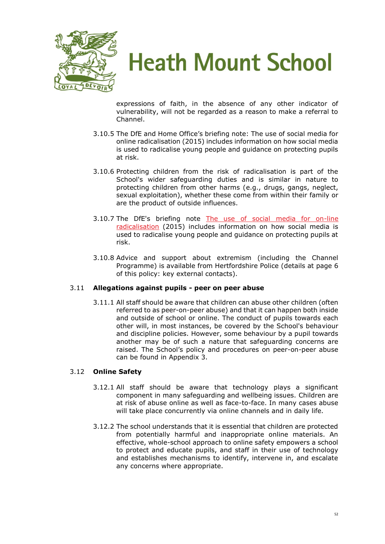

expressions of faith, in the absence of any other indicator of vulnerability, will not be regarded as a reason to make a referral to Channel.

- 3.10.5 The DfE and Home Office's briefing note: The use of social media for online radicalisation (2015) includes information on how social media is used to radicalise young people and guidance on protecting pupils at risk.
- 3.10.6 Protecting children from the risk of radicalisation is part of the School's wider safeguarding duties and is similar in nature to protecting children from other harms (e.g., drugs, gangs, neglect, sexual exploitation), whether these come from within their family or are the product of outside influences.
- 3.10.7 The DfE's briefing note [The use of social media for on-line](https://www.gov.uk/government/publications/the-use-of-social-media-for-online-radicalisation)  [radicalisation](https://www.gov.uk/government/publications/the-use-of-social-media-for-online-radicalisation) (2015) includes information on how social media is used to radicalise young people and guidance on protecting pupils at risk.
- 3.10.8 Advice and support about extremism (including the Channel Programme) is available from Hertfordshire Police (details at page 6 of this policy: key external contacts).

#### 3.11 **Allegations against pupils - peer on peer abuse**

3.11.1 All staff should be aware that children can abuse other children (often referred to as peer-on-peer abuse) and that it can happen both inside and outside of school or online. The conduct of pupils towards each other will, in most instances, be covered by the School's behaviour and discipline policies. However, some behaviour by a pupil towards another may be of such a nature that safeguarding concerns are raised. The School's policy and procedures on peer-on-peer abuse can be found in Appendix 3.

#### 3.12 **Online Safety**

- 3.12.1 All staff should be aware that technology plays a significant component in many safeguarding and wellbeing issues. Children are at risk of abuse online as well as face-to-face. In many cases abuse will take place concurrently via online channels and in daily life.
- 3.12.2 The school understands that it is essential that children are protected from potentially harmful and inappropriate online materials. An effective, whole-school approach to online safety empowers a school to protect and educate pupils, and staff in their use of technology and establishes mechanisms to identify, intervene in, and escalate any concerns where appropriate.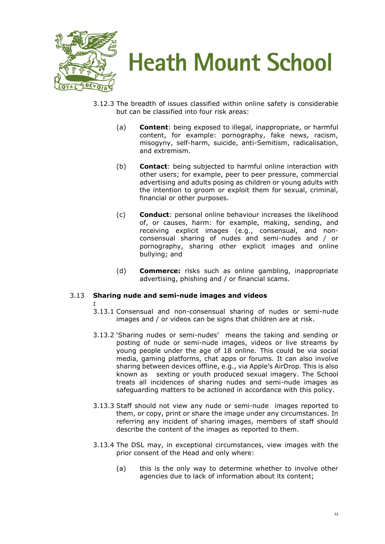

- 3.12.3 The breadth of issues classified within online safety is considerable but can be classified into four risk areas:
	- (a) **Content**: being exposed to illegal, inappropriate, or harmful content, for example: pornography, fake news, racism, misogyny, self-harm, suicide, anti-Semitism, radicalisation, and extremism.
	- (b) **Contact**: being subjected to harmful online interaction with other users; for example, peer to peer pressure, commercial advertising and adults posing as children or young adults with the intention to groom or exploit them for sexual, criminal, financial or other purposes.
	- (c) **Conduct**: personal online behaviour increases the likelihood of, or causes, harm: for example, making, sending, and receiving explicit images (e.g., consensual, and nonconsensual sharing of nudes and semi-nudes and / or pornography, sharing other explicit images and online bullying; and
	- (d) **Commerce:** risks such as online gambling, inappropriate advertising, phishing and / or financial scams.

#### 3.13 **Sharing nude and semi-nude images and videos**

- **:** 3.13.1 Consensual and non-consensual sharing of nudes or semi-nude images and / or videos can be signs that children are at risk.
- 3.13.2 'Sharing nudes or semi-nudes' means the taking and sending or posting of nude or semi-nude images, videos or live streams by young people under the age of 18 online. This could be via social media, gaming platforms, chat apps or forums. It can also involve sharing between devices offline, e.g., via Apple's AirDrop. This is also known as sexting or youth produced sexual imagery. The School treats all incidences of sharing nudes and semi-nude images as safeguarding matters to be actioned in accordance with this policy.
- 3.13.3 Staff should not view any nude or semi-nude images reported to them, or copy, print or share the image under any circumstances. In referring any incident of sharing images, members of staff should describe the content of the images as reported to them.
- 3.13.4 The DSL may, in exceptional circumstances, view images with the prior consent of the Head and only where:
	- (a) this is the only way to determine whether to involve other agencies due to lack of information about its content;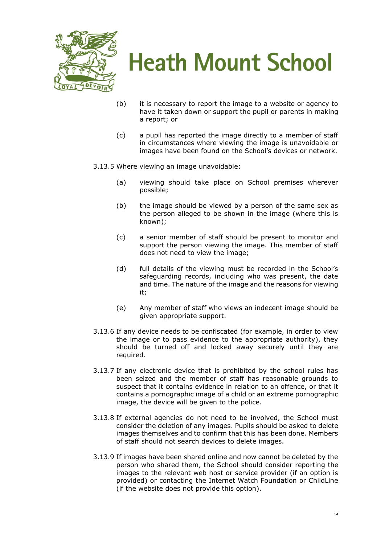

- (b) it is necessary to report the image to a website or agency to have it taken down or support the pupil or parents in making a report; or
- (c) a pupil has reported the image directly to a member of staff in circumstances where viewing the image is unavoidable or images have been found on the School's devices or network.
- 3.13.5 Where viewing an image unavoidable:
	- (a) viewing should take place on School premises wherever possible;
	- (b) the image should be viewed by a person of the same sex as the person alleged to be shown in the image (where this is known);
	- (c) a senior member of staff should be present to monitor and support the person viewing the image. This member of staff does not need to view the image;
	- (d) full details of the viewing must be recorded in the School's safeguarding records, including who was present, the date and time. The nature of the image and the reasons for viewing it;
	- (e) Any member of staff who views an indecent image should be given appropriate support.
- 3.13.6 If any device needs to be confiscated (for example, in order to view the image or to pass evidence to the appropriate authority), they should be turned off and locked away securely until they are required.
- 3.13.7 If any electronic device that is prohibited by the school rules has been seized and the member of staff has reasonable grounds to suspect that it contains evidence in relation to an offence, or that it contains a pornographic image of a child or an extreme pornographic image, the device will be given to the police.
- 3.13.8 If external agencies do not need to be involved, the School must consider the deletion of any images. Pupils should be asked to delete images themselves and to confirm that this has been done. Members of staff should not search devices to delete images.
- 3.13.9 If images have been shared online and now cannot be deleted by the person who shared them, the School should consider reporting the images to the relevant web host or service provider (if an option is provided) or contacting the Internet Watch Foundation or ChildLine (if the website does not provide this option).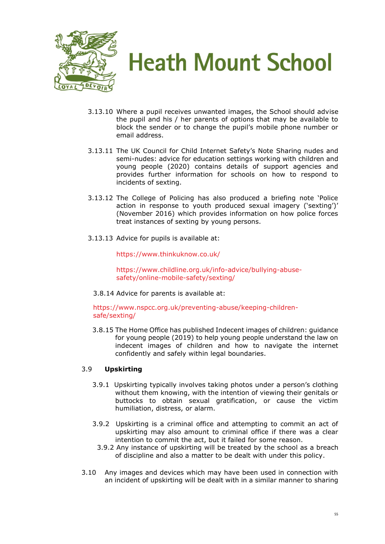



- 3.13.10 Where a pupil receives unwanted images, the School should advise the pupil and his / her parents of options that may be available to block the sender or to change the pupil's mobile phone number or email address.
- 3.13.11 The UK Council for Child Internet Safety's Note Sharing nudes and semi-nudes: advice for education settings working with children and young people (2020) contains details of support agencies and provides further information for schools on how to respond to incidents of sexting.
- 3.13.12 The College of Policing has also produced a briefing note 'Police action in response to youth produced sexual imagery ('sexting')' (November 2016) which provides information on how police forces treat instances of sexting by young persons.
- 3.13.13 Advice for pupils is available at:

<https://www.thinkuknow.co.uk/>

[https://www.childline.org.uk/info-advice/bullying-abuse](https://www.childline.org.uk/info-advice/bullying-abuse-safety/online-mobile-safety/sexting/)[safety/online-mobile-safety/sexting/](https://www.childline.org.uk/info-advice/bullying-abuse-safety/online-mobile-safety/sexting/)

3.8.14 Advice for parents is available at:

[https://www.nspcc.org.uk/preventing-abuse/keeping-children](https://www.nspcc.org.uk/preventing-abuse/keeping-children-safe/sexting/)[safe/sexting/](https://www.nspcc.org.uk/preventing-abuse/keeping-children-safe/sexting/)

3.8.15 The Home Office has published Indecent images of children: guidance for young people (2019) to help young people understand the law on indecent images of children and how to navigate the internet confidently and safely within legal boundaries.

#### 3.9 **Upskirting**

- 3.9.1Upskirting typically involves taking photos under a person's clothing without them knowing, with the intention of viewing their genitals or buttocks to obtain sexual gratification, or cause the victim humiliation, distress, or alarm.
- 3.9.2 Upskirting is a criminal office and attempting to commit an act of upskirting may also amount to criminal office if there was a clear intention to commit the act, but it failed for some reason.
	- 3.9.2 Any instance of upskirting will be treated by the school as a breach of discipline and also a matter to be dealt with under this policy.
- 3.10 Any images and devices which may have been used in connection with an incident of upskirting will be dealt with in a similar manner to sharing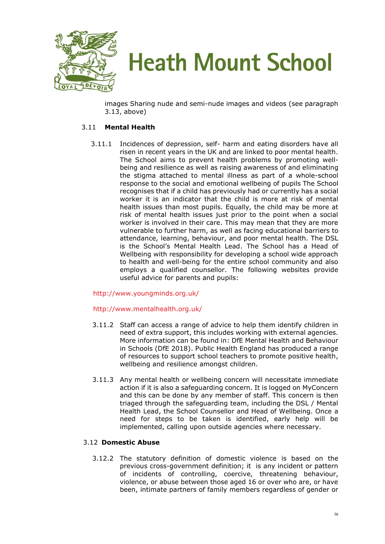

images Sharing nude and semi-nude images and videos (see paragraph 3.13, above)

#### 3.11 **Mental Health**

3.11.1 Incidences of depression, self- harm and eating disorders have all risen in recent years in the UK and are linked to poor mental health. The School aims to prevent health problems by promoting wellbeing and resilience as well as raising awareness of and eliminating the stigma attached to mental illness as part of a whole-school response to the social and emotional wellbeing of pupils The School recognises that if a child has previously had or currently has a social worker it is an indicator that the child is more at risk of mental health issues than most pupils. Equally, the child may be more at risk of mental health issues just prior to the point when a social worker is involved in their care. This may mean that they are more vulnerable to further harm, as well as facing educational barriers to attendance, learning, behaviour, and poor mental health. The DSL is the School's Mental Health Lead. The School has a Head of Wellbeing with responsibility for developing a school wide approach to health and well-being for the entire school community and also employs a qualified counsellor. The following websites provide useful advice for parents and pupils:

#### <http://www.youngminds.org.uk/>

#### <http://www.mentalhealth.org.uk/>

- 3.11.2 Staff can access a range of advice to help them identify children in need of extra support, this includes working with external agencies. More information can be found in: DfE Mental Health and Behaviour in Schools (DfE 2018). Public Health England has produced a range of resources to support school teachers to promote positive health, wellbeing and resilience amongst children.
- 3.11.3 Any mental health or wellbeing concern will necessitate immediate action if it is also a safeguarding concern. It is logged on MyConcern and this can be done by any member of staff. This concern is then triaged through the safeguarding team, including the DSL / Mental Health Lead, the School Counsellor and Head of Wellbeing. Once a need for steps to be taken is identified, early help will be implemented, calling upon outside agencies where necessary.

#### 3.12 **Domestic Abuse**

3.12.2 The statutory definition of domestic violence is based on the previous cross-government definition; it is any incident or pattern of incidents of controlling, coercive, threatening behaviour, violence, or abuse between those aged 16 or over who are, or have been, intimate partners of family members regardless of gender or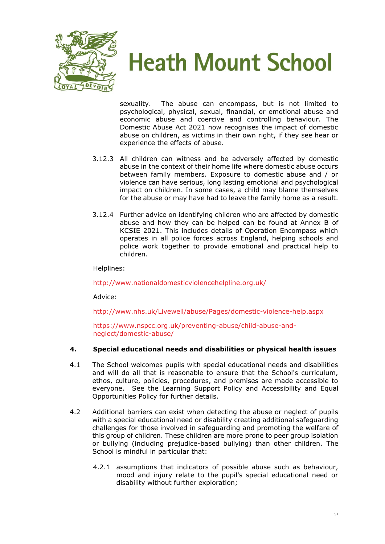

sexuality. The abuse can encompass, but is not limited to psychological, physical, sexual, financial, or emotional abuse and economic abuse and coercive and controlling behaviour. The Domestic Abuse Act 2021 now recognises the impact of domestic abuse on children, as victims in their own right, if they see hear or experience the effects of abuse.

- 3.12.3 All children can witness and be adversely affected by domestic abuse in the context of their home life where domestic abuse occurs between family members. Exposure to domestic abuse and / or violence can have serious, long lasting emotional and psychological impact on children. In some cases, a child may blame themselves for the abuse or may have had to leave the family home as a result.
- 3.12.4 Further advice on identifying children who are affected by domestic abuse and how they can be helped can be found at Annex B of KCSIE 2021. This includes details of Operation Encompass which operates in all police forces across England, helping schools and police work together to provide emotional and practical help to children.

Helplines:

<http://www.nationaldomesticviolencehelpline.org.uk/>

Advice:

<http://www.nhs.uk/Livewell/abuse/Pages/domestic-violence-help.aspx>

[https://www.nspcc.org.uk/preventing-abuse/child-abuse-and](https://www.nspcc.org.uk/preventing-abuse/child-abuse-and-neglect/domestic-abuse/)[neglect/domestic-abuse/](https://www.nspcc.org.uk/preventing-abuse/child-abuse-and-neglect/domestic-abuse/)

#### **4. Special educational needs and disabilities or physical health issues**

- 4.1 The School welcomes pupils with special educational needs and disabilities and will do all that is reasonable to ensure that the School's curriculum, ethos, culture, policies, procedures, and premises are made accessible to everyone. See the Learning Support Policy and Accessibility and Equal Opportunities Policy for further details.
- 4.2 Additional barriers can exist when detecting the abuse or neglect of pupils with a special educational need or disability creating additional safeguarding challenges for those involved in safeguarding and promoting the welfare of this group of children. These children are more prone to peer group isolation or bullying (including prejudice-based bullying) than other children. The School is mindful in particular that:
	- 4.2.1 assumptions that indicators of possible abuse such as behaviour, mood and injury relate to the pupil's special educational need or disability without further exploration;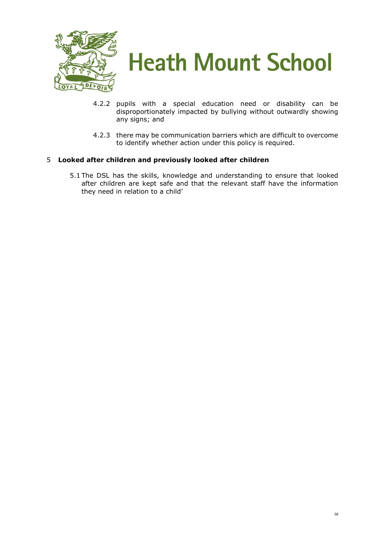

- 4.2.2 pupils with a special education need or disability can be disproportionately impacted by bullying without outwardly showing any signs; and
- 4.2.3 there may be communication barriers which are difficult to overcome to identify whether action under this policy is required.

#### 5 **Looked after children and previously looked after children**

5.1 The DSL has the skills, knowledge and understanding to ensure that looked after children are kept safe and that the relevant staff have the information they need in relation to a child'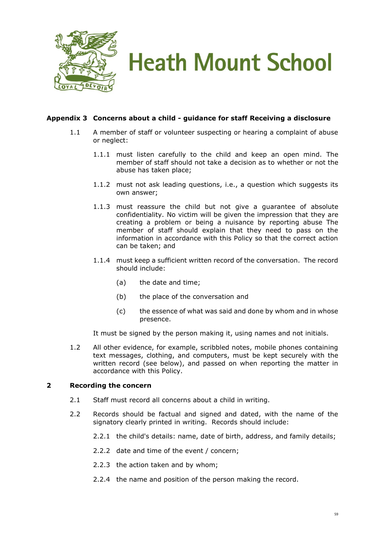

#### **Appendix 3 Concerns about a child - guidance for staff Receiving a disclosure**

- 1.1 A member of staff or volunteer suspecting or hearing a complaint of abuse or neglect:
	- 1.1.1 must listen carefully to the child and keep an open mind. The member of staff should not take a decision as to whether or not the abuse has taken place;
	- 1.1.2 must not ask leading questions, i.e., a question which suggests its own answer;
	- 1.1.3 must reassure the child but not give a guarantee of absolute confidentiality. No victim will be given the impression that they are creating a problem or being a nuisance by reporting abuse The member of staff should explain that they need to pass on the information in accordance with this Policy so that the correct action can be taken; and
	- 1.1.4 must keep a sufficient written record of the conversation. The record should include:
		- (a) the date and time;
		- (b) the place of the conversation and
		- (c) the essence of what was said and done by whom and in whose presence.

It must be signed by the person making it, using names and not initials.

1.2 All other evidence, for example, scribbled notes, mobile phones containing text messages, clothing, and computers, must be kept securely with the written record (see below), and passed on when reporting the matter in accordance with this Policy.

#### **2 Recording the concern**

- 2.1 Staff must record all concerns about a child in writing.
- 2.2 Records should be factual and signed and dated, with the name of the signatory clearly printed in writing. Records should include:
	- 2.2.1 the child's details: name, date of birth, address, and family details;
	- 2.2.2 date and time of the event / concern;
	- 2.2.3 the action taken and by whom;
	- 2.2.4 the name and position of the person making the record.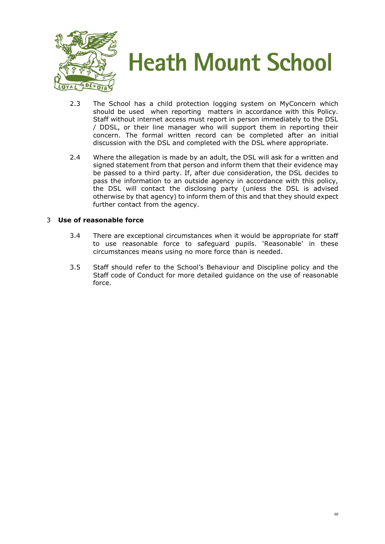

- 2.3 The School has a child protection logging system on MyConcern which should be used when reporting matters in accordance with this Policy. Staff without internet access must report in person immediately to the DSL / DDSL, or their line manager who will support them in reporting their concern. The formal written record can be completed after an initial discussion with the DSL and completed with the DSL where appropriate.
- 2.4 Where the allegation is made by an adult, the DSL will ask for a written and signed statement from that person and inform them that their evidence may be passed to a third party. If, after due consideration, the DSL decides to pass the information to an outside agency in accordance with this policy, the DSL will contact the disclosing party (unless the DSL is advised otherwise by that agency) to inform them of this and that they should expect further contact from the agency.

#### 3 **Use of reasonable force**

- 3.4 There are exceptional circumstances when it would be appropriate for staff to use reasonable force to safeguard pupils. 'Reasonable' in these circumstances means using no more force than is needed.
- 3.5 Staff should refer to the School's Behaviour and Discipline policy and the Staff code of Conduct for more detailed guidance on the use of reasonable force.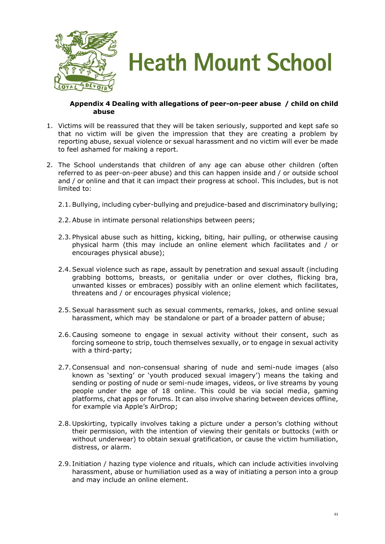

#### **Appendix 4 Dealing with allegations of peer-on-peer abuse / child on child abuse**

- 1. Victims will be reassured that they will be taken seriously, supported and kept safe so that no victim will be given the impression that they are creating a problem by reporting abuse, sexual violence or sexual harassment and no victim will ever be made to feel ashamed for making a report.
- 2. The School understands that children of any age can abuse other children (often referred to as peer-on-peer abuse) and this can happen inside and / or outside school and / or online and that it can impact their progress at school. This includes, but is not limited to:
	- 2.1.Bullying, including cyber-bullying and prejudice-based and discriminatory bullying;
	- 2.2.Abuse in intimate personal relationships between peers;
	- 2.3. Physical abuse such as hitting, kicking, biting, hair pulling, or otherwise causing physical harm (this may include an online element which facilitates and / or encourages physical abuse);
	- 2.4.Sexual violence such as rape, assault by penetration and sexual assault (including grabbing bottoms, breasts, or genitalia under or over clothes, flicking bra, unwanted kisses or embraces) possibly with an online element which facilitates, threatens and / or encourages physical violence;
	- 2.5.Sexual harassment such as sexual comments, remarks, jokes, and online sexual harassment, which may be standalone or part of a broader pattern of abuse;
	- 2.6.Causing someone to engage in sexual activity without their consent, such as forcing someone to strip, touch themselves sexually, or to engage in sexual activity with a third-party;
	- 2.7.Consensual and non-consensual sharing of nude and semi-nude images (also known as 'sexting' or 'youth produced sexual imagery') means the taking and sending or posting of nude or semi-nude images, videos, or live streams by young people under the age of 18 online. This could be via social media, gaming platforms, chat apps or forums. It can also involve sharing between devices offline, for example via Apple's AirDrop;
	- 2.8. Upskirting, typically involves taking a picture under a person's clothing without their permission, with the intention of viewing their genitals or buttocks (with or without underwear) to obtain sexual gratification, or cause the victim humiliation, distress, or alarm.
	- 2.9. Initiation / hazing type violence and rituals, which can include activities involving harassment, abuse or humiliation used as a way of initiating a person into a group and may include an online element.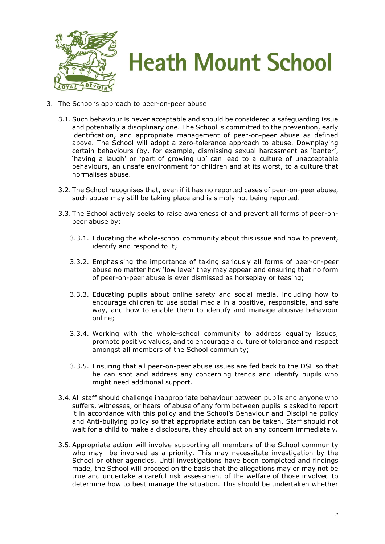

- 3. The School's approach to peer-on-peer abuse
	- 3.1.Such behaviour is never acceptable and should be considered a safeguarding issue and potentially a disciplinary one. The School is committed to the prevention, early identification, and appropriate management of peer-on-peer abuse as defined above. The School will adopt a zero-tolerance approach to abuse. Downplaying certain behaviours (by, for example, dismissing sexual harassment as 'banter', 'having a laugh' or 'part of growing up' can lead to a culture of unacceptable behaviours, an unsafe environment for children and at its worst, to a culture that normalises abuse.
	- 3.2. The School recognises that, even if it has no reported cases of peer-on-peer abuse, such abuse may still be taking place and is simply not being reported.
	- 3.3. The School actively seeks to raise awareness of and prevent all forms of peer-onpeer abuse by:
		- 3.3.1. Educating the whole-school community about this issue and how to prevent, identify and respond to it;
		- 3.3.2. Emphasising the importance of taking seriously all forms of peer-on-peer abuse no matter how 'low level' they may appear and ensuring that no form of peer-on-peer abuse is ever dismissed as horseplay or teasing;
		- 3.3.3. Educating pupils about online safety and social media, including how to encourage children to use social media in a positive, responsible, and safe way, and how to enable them to identify and manage abusive behaviour online;
		- 3.3.4. Working with the whole-school community to address equality issues, promote positive values, and to encourage a culture of tolerance and respect amongst all members of the School community;
		- 3.3.5. Ensuring that all peer-on-peer abuse issues are fed back to the DSL so that he can spot and address any concerning trends and identify pupils who might need additional support.
	- 3.4.All staff should challenge inappropriate behaviour between pupils and anyone who suffers, witnesses, or hears of abuse of any form between pupils is asked to report it in accordance with this policy and the School's Behaviour and Discipline policy and Anti-bullying policy so that appropriate action can be taken. Staff should not wait for a child to make a disclosure, they should act on any concern immediately.
	- 3.5.Appropriate action will involve supporting all members of the School community who may be involved as a priority. This may necessitate investigation by the School or other agencies. Until investigations have been completed and findings made, the School will proceed on the basis that the allegations may or may not be true and undertake a careful risk assessment of the welfare of those involved to determine how to best manage the situation. This should be undertaken whether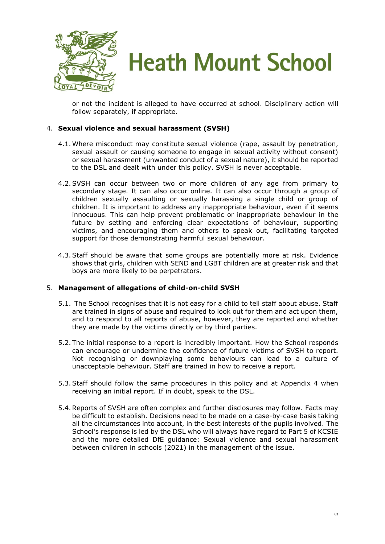

or not the incident is alleged to have occurred at school. Disciplinary action will follow separately, if appropriate.

#### 4. **Sexual violence and sexual harassment (SVSH)**

- 4.1. Where misconduct may constitute sexual violence (rape, assault by penetration, sexual assault or causing someone to engage in sexual activity without consent) or sexual harassment (unwanted conduct of a sexual nature), it should be reported to the DSL and dealt with under this policy. SVSH is never acceptable.
- 4.2.SVSH can occur between two or more children of any age from primary to secondary stage. It can also occur online. It can also occur through a group of children sexually assaulting or sexually harassing a single child or group of children. It is important to address any inappropriate behaviour, even if it seems innocuous. This can help prevent problematic or inappropriate behaviour in the future by setting and enforcing clear expectations of behaviour, supporting victims, and encouraging them and others to speak out, facilitating targeted support for those demonstrating harmful sexual behaviour.
- 4.3.Staff should be aware that some groups are potentially more at risk. Evidence shows that girls, children with SEND and LGBT children are at greater risk and that boys are more likely to be perpetrators.

#### 5. **Management of allegations of child-on-child SVSH**

- 5.1. The School recognises that it is not easy for a child to tell staff about abuse. Staff are trained in signs of abuse and required to look out for them and act upon them, and to respond to all reports of abuse, however, they are reported and whether they are made by the victims directly or by third parties.
- 5.2. The initial response to a report is incredibly important. How the School responds can encourage or undermine the confidence of future victims of SVSH to report. Not recognising or downplaying some behaviours can lead to a culture of unacceptable behaviour. Staff are trained in how to receive a report.
- 5.3.Staff should follow the same procedures in this policy and at Appendix 4 when receiving an initial report. If in doubt, speak to the DSL.
- 5.4.Reports of SVSH are often complex and further disclosures may follow. Facts may be difficult to establish. Decisions need to be made on a case-by-case basis taking all the circumstances into account, in the best interests of the pupils involved. The School's response is led by the DSL who will always have regard to Part 5 of KCSIE and the more detailed DfE guidance: Sexual violence and sexual harassment between children in schools (2021) in the management of the issue.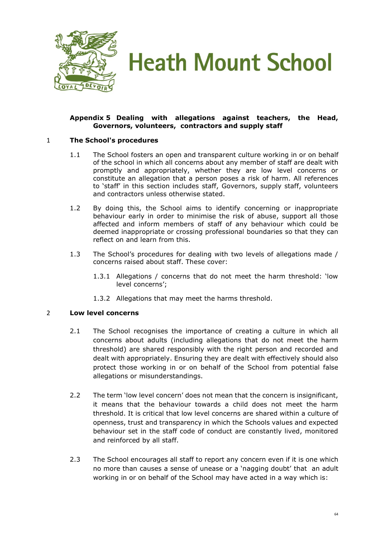

#### **Appendix 5 Dealing with allegations against teachers, the Head, Governors, volunteers, contractors and supply staff**

#### <span id="page-63-0"></span>1 **The School's procedures**

- 1.1 The School fosters an open and transparent culture working in or on behalf of the school in which all concerns about any member of staff are dealt with promptly and appropriately, whether they are low level concerns or constitute an allegation that a person poses a risk of harm. All references to 'staff' in this section includes staff, Governors, supply staff, volunteers and contractors unless otherwise stated.
- 1.2 By doing this, the School aims to identify concerning or inappropriate behaviour early in order to minimise the risk of abuse, support all those affected and inform members of staff of any behaviour which could be deemed inappropriate or crossing professional boundaries so that they can reflect on and learn from this.
- 1.3 The School's procedures for dealing with two levels of allegations made / concerns raised about staff. These cover:
	- 1.3.1 Allegations / concerns that do not meet the harm threshold: 'low level concerns';
	- 1.3.2 Allegations that may meet the harms threshold.

#### 2 **Low level concerns**

- 2.1 The School recognises the importance of creating a culture in which all concerns about adults (including allegations that do not meet the harm threshold) are shared responsibly with the right person and recorded and dealt with appropriately. Ensuring they are dealt with effectively should also protect those working in or on behalf of the School from potential false allegations or misunderstandings.
- 2.2 The term 'low level concern' does not mean that the concern is insignificant, it means that the behaviour towards a child does not meet the harm threshold. It is critical that low level concerns are shared within a culture of openness, trust and transparency in which the Schools values and expected behaviour set in the staff code of conduct are constantly lived, monitored and reinforced by all staff.
- 2.3 The School encourages all staff to report any concern even if it is one which no more than causes a sense of unease or a 'nagging doubt' that an adult working in or on behalf of the School may have acted in a way which is: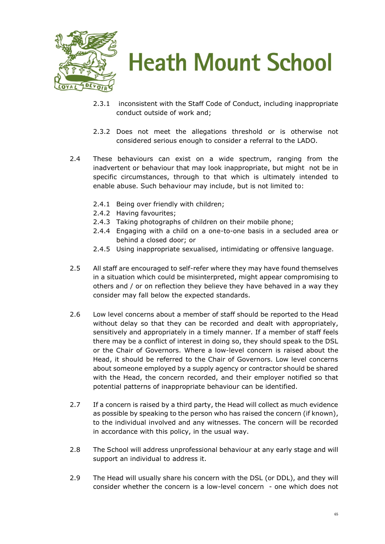

- 2.3.1 inconsistent with the Staff Code of Conduct, including inappropriate conduct outside of work and;
- 2.3.2 Does not meet the allegations threshold or is otherwise not considered serious enough to consider a referral to the LADO.
- 2.4 These behaviours can exist on a wide spectrum, ranging from the inadvertent or behaviour that may look inappropriate, but might not be in specific circumstances, through to that which is ultimately intended to enable abuse. Such behaviour may include, but is not limited to:
	- 2.4.1 Being over friendly with children;
	- 2.4.2 Having favourites;
	- 2.4.3 Taking photographs of children on their mobile phone;
	- 2.4.4 Engaging with a child on a one-to-one basis in a secluded area or behind a closed door; or
	- 2.4.5 Using inappropriate sexualised, intimidating or offensive language.
- 2.5 All staff are encouraged to self-refer where they may have found themselves in a situation which could be misinterpreted, might appear compromising to others and / or on reflection they believe they have behaved in a way they consider may fall below the expected standards.
- 2.6 Low level concerns about a member of staff should be reported to the Head without delay so that they can be recorded and dealt with appropriately, sensitively and appropriately in a timely manner. If a member of staff feels there may be a conflict of interest in doing so, they should speak to the DSL or the Chair of Governors. Where a low-level concern is raised about the Head, it should be referred to the Chair of Governors. Low level concerns about someone employed by a supply agency or contractor should be shared with the Head, the concern recorded, and their employer notified so that potential patterns of inappropriate behaviour can be identified.
- 2.7 If a concern is raised by a third party, the Head will collect as much evidence as possible by speaking to the person who has raised the concern (if known), to the individual involved and any witnesses. The concern will be recorded in accordance with this policy, in the usual way.
- 2.8 The School will address unprofessional behaviour at any early stage and will support an individual to address it.
- 2.9 The Head will usually share his concern with the DSL (or DDL), and they will consider whether the concern is a low-level concern - one which does not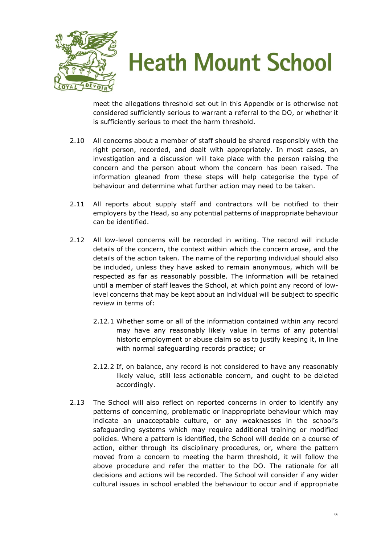

meet the allegations threshold set out in this Appendix or is otherwise not considered sufficiently serious to warrant a referral to the DO, or whether it is sufficiently serious to meet the harm threshold.

- 2.10 All concerns about a member of staff should be shared responsibly with the right person, recorded, and dealt with appropriately. In most cases, an investigation and a discussion will take place with the person raising the concern and the person about whom the concern has been raised. The information gleaned from these steps will help categorise the type of behaviour and determine what further action may need to be taken.
- 2.11 All reports about supply staff and contractors will be notified to their employers by the Head, so any potential patterns of inappropriate behaviour can be identified.
- 2.12 All low-level concerns will be recorded in writing. The record will include details of the concern, the context within which the concern arose, and the details of the action taken. The name of the reporting individual should also be included, unless they have asked to remain anonymous, which will be respected as far as reasonably possible. The information will be retained until a member of staff leaves the School, at which point any record of lowlevel concerns that may be kept about an individual will be subject to specific review in terms of:
	- 2.12.1 Whether some or all of the information contained within any record may have any reasonably likely value in terms of any potential historic employment or abuse claim so as to justify keeping it, in line with normal safeguarding records practice; or
	- 2.12.2 If, on balance, any record is not considered to have any reasonably likely value, still less actionable concern, and ought to be deleted accordingly.
- 2.13 The School will also reflect on reported concerns in order to identify any patterns of concerning, problematic or inappropriate behaviour which may indicate an unacceptable culture, or any weaknesses in the school's safeguarding systems which may require additional training or modified policies. Where a pattern is identified, the School will decide on a course of action, either through its disciplinary procedures, or, where the pattern moved from a concern to meeting the harm threshold, it will follow the above procedure and refer the matter to the DO. The rationale for all decisions and actions will be recorded. The School will consider if any wider cultural issues in school enabled the behaviour to occur and if appropriate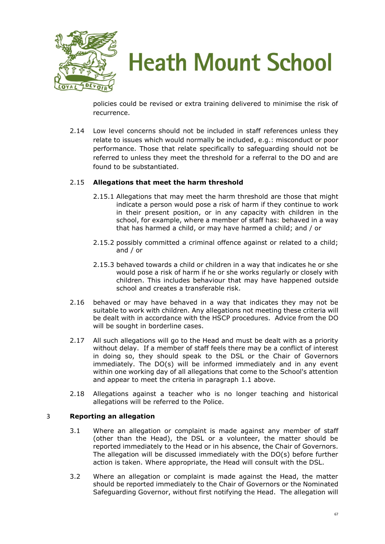

policies could be revised or extra training delivered to minimise the risk of recurrence.

2.14 Low level concerns should not be included in staff references unless they relate to issues which would normally be included, e.g.: misconduct or poor performance. Those that relate specifically to safeguarding should not be referred to unless they meet the threshold for a referral to the DO and are found to be substantiated.

#### 2.15 **Allegations that meet the harm threshold**

- 2.15.1 Allegations that may meet the harm threshold are those that might indicate a person would pose a risk of harm if they continue to work in their present position, or in any capacity with children in the school, for example, where a member of staff has: behaved in a way that has harmed a child, or may have harmed a child; and / or
- 2.15.2 possibly committed a criminal offence against or related to a child; and / or
- 2.15.3 behaved towards a child or children in a way that indicates he or she would pose a risk of harm if he or she works regularly or closely with children. This includes behaviour that may have happened outside school and creates a transferable risk.
- 2.16 behaved or may have behaved in a way that indicates they may not be suitable to work with children. Any allegations not meeting these criteria will be dealt with in accordance with the HSCP procedures. Advice from the DO will be sought in borderline cases.
- 2.17 All such allegations will go to the Head and must be dealt with as a priority without delay. If a member of staff feels there may be a conflict of interest in doing so, they should speak to the DSL or the Chair of Governors immediately. The DO(s) will be informed immediately and in any event within one working day of all allegations that come to the School's attention and appear to meet the criteria in paragraph [1.1](#page-63-0) above.
- 2.18 Allegations against a teacher who is no longer teaching and historical allegations will be referred to the Police.

#### 3 **Reporting an allegation**

- 3.1 Where an allegation or complaint is made against any member of staff (other than the Head), the DSL or a volunteer, the matter should be reported immediately to the Head or in his absence, the Chair of Governors. The allegation will be discussed immediately with the DO(s) before further action is taken. Where appropriate, the Head will consult with the DSL.
- 3.2 Where an allegation or complaint is made against the Head, the matter should be reported immediately to the Chair of Governors or the Nominated Safeguarding Governor, without first notifying the Head. The allegation will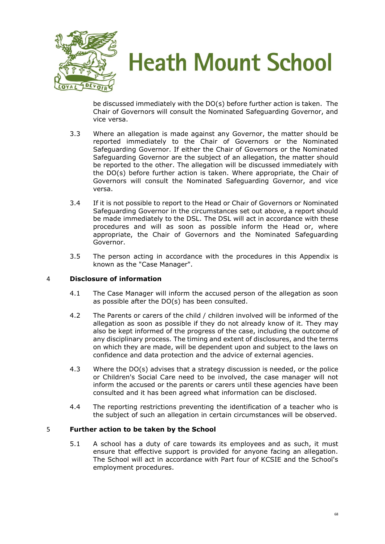

be discussed immediately with the DO(s) before further action is taken. The Chair of Governors will consult the Nominated Safeguarding Governor, and vice versa.

- 3.3 Where an allegation is made against any Governor, the matter should be reported immediately to the Chair of Governors or the Nominated Safeguarding Governor. If either the Chair of Governors or the Nominated Safeguarding Governor are the subject of an allegation, the matter should be reported to the other. The allegation will be discussed immediately with the DO(s) before further action is taken. Where appropriate, the Chair of Governors will consult the Nominated Safeguarding Governor, and vice versa.
- 3.4 If it is not possible to report to the Head or Chair of Governors or Nominated Safeguarding Governor in the circumstances set out above, a report should be made immediately to the DSL. The DSL will act in accordance with these procedures and will as soon as possible inform the Head or, where appropriate, the Chair of Governors and the Nominated Safeguarding Governor.
- 3.5 The person acting in accordance with the procedures in this Appendix is known as the "Case Manager".

#### 4 **Disclosure of information**

- 4.1 The Case Manager will inform the accused person of the allegation as soon as possible after the DO(s) has been consulted.
- 4.2 The Parents or carers of the child / children involved will be informed of the allegation as soon as possible if they do not already know of it. They may also be kept informed of the progress of the case, including the outcome of any disciplinary process. The timing and extent of disclosures, and the terms on which they are made, will be dependent upon and subject to the laws on confidence and data protection and the advice of external agencies.
- 4.3 Where the DO(s) advises that a strategy discussion is needed, or the police or Children's Social Care need to be involved, the case manager will not inform the accused or the parents or carers until these agencies have been consulted and it has been agreed what information can be disclosed.
- 4.4 The reporting restrictions preventing the identification of a teacher who is the subject of such an allegation in certain circumstances will be observed.

#### 5 **Further action to be taken by the School**

5.1 A school has a duty of care towards its employees and as such, it must ensure that effective support is provided for anyone facing an allegation. The School will act in accordance with Part four of KCSIE and the School's employment procedures.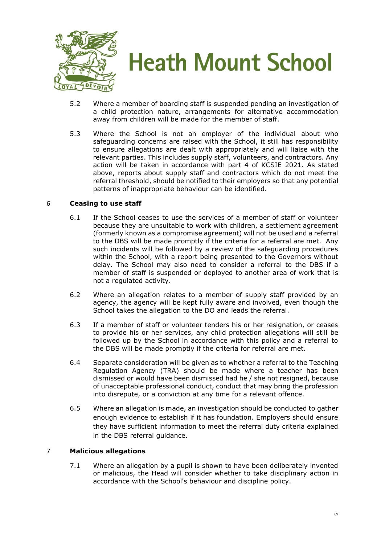

- 5.2 Where a member of boarding staff is suspended pending an investigation of a child protection nature, arrangements for alternative accommodation away from children will be made for the member of staff.
- 5.3 Where the School is not an employer of the individual about who safeguarding concerns are raised with the School, it still has responsibility to ensure allegations are dealt with appropriately and will liaise with the relevant parties. This includes supply staff, volunteers, and contractors. Any action will be taken in accordance with part 4 of KCSIE 2021. As stated above, reports about supply staff and contractors which do not meet the referral threshold, should be notified to their employers so that any potential patterns of inappropriate behaviour can be identified.

#### 6 **Ceasing to use staff**

- 6.1 If the School ceases to use the services of a member of staff or volunteer because they are unsuitable to work with children, a settlement agreement (formerly known as a compromise agreement) will not be used and a referral to the DBS will be made promptly if the criteria for a referral are met. Any such incidents will be followed by a review of the safeguarding procedures within the School, with a report being presented to the Governors without delay. The School may also need to consider a referral to the DBS if a member of staff is suspended or deployed to another area of work that is not a regulated activity.
- 6.2 Where an allegation relates to a member of supply staff provided by an agency, the agency will be kept fully aware and involved, even though the School takes the allegation to the DO and leads the referral.
- 6.3 If a member of staff or volunteer tenders his or her resignation, or ceases to provide his or her services, any child protection allegations will still be followed up by the School in accordance with this policy and a referral to the DBS will be made promptly if the criteria for referral are met.
- 6.4 Separate consideration will be given as to whether a referral to the Teaching Regulation Agency (TRA) should be made where a teacher has been dismissed or would have been dismissed had he / she not resigned, because of unacceptable professional conduct, conduct that may bring the profession into disrepute, or a conviction at any time for a relevant offence.
- 6.5 Where an allegation is made, an investigation should be conducted to gather enough evidence to establish if it has foundation. Employers should ensure they have sufficient information to meet the referral duty criteria explained in the DBS referral guidance.

#### 7 **Malicious allegations**

7.1 Where an allegation by a pupil is shown to have been deliberately invented or malicious, the Head will consider whether to take disciplinary action in accordance with the School's behaviour and discipline policy.